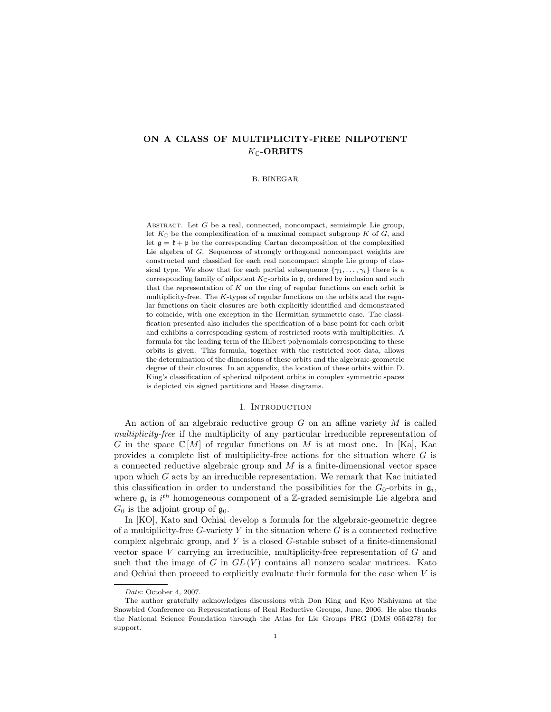# ON A CLASS OF MULTIPLICITY-FREE NILPOTENT  $K_{\mathbb{C}}$ -ORBITS

#### B. BINEGAR

ABSTRACT. Let  $G$  be a real, connected, noncompact, semisimple Lie group, let  $K_{\mathbb{C}}$  be the complexification of a maximal compact subgroup K of G, and let  $\mathfrak{g} = \mathfrak{k} + \mathfrak{p}$  be the corresponding Cartan decomposition of the complexified Lie algebra of G. Sequences of strongly orthogonal noncompact weights are constructed and classified for each real noncompact simple Lie group of classical type. We show that for each partial subsequence  $\{\gamma_1, \ldots, \gamma_i\}$  there is a corresponding family of nilpotent  $K_{\mathbb{C}}$ -orbits in p, ordered by inclusion and such that the representation of  $K$  on the ring of regular functions on each orbit is multiplicity-free. The  $K$ -types of regular functions on the orbits and the regular functions on their closures are both explicitly identified and demonstrated to coincide, with one exception in the Hermitian symmetric case. The classification presented also includes the specification of a base point for each orbit and exhibits a corresponding system of restricted roots with multiplicities. A formula for the leading term of the Hilbert polynomials corresponding to these orbits is given. This formula, together with the restricted root data, allows the determination of the dimensions of these orbits and the algebraic-geometric degree of their closures. In an appendix, the location of these orbits within D. King's classification of spherical nilpotent orbits in complex symmetric spaces is depicted via signed partitions and Hasse diagrams.

### 1. INTRODUCTION

An action of an algebraic reductive group  $G$  on an affine variety  $M$  is called multiplicity-free if the multiplicity of any particular irreducible representation of G in the space  $\mathbb{C}[M]$  of regular functions on M is at most one. In [Ka], Kac provides a complete list of multiplicity-free actions for the situation where  $G$  is a connected reductive algebraic group and  $M$  is a finite-dimensional vector space upon which  $G$  acts by an irreducible representation. We remark that Kac initiated this classification in order to understand the possibilities for the  $G_0$ -orbits in  $\mathfrak{g}_i$ , where  $\mathfrak{g}_i$  is  $i^{th}$  homogeneous component of a Z-graded semisimple Lie algebra and  $G_0$  is the adjoint group of  $\mathfrak{g}_0$ .

In [KO], Kato and Ochiai develop a formula for the algebraic-geometric degree of a multiplicity-free  $G$ -variety  $Y$  in the situation where  $G$  is a connected reductive complex algebraic group, and Y is a closed G-stable subset of a finite-dimensional vector space V carrying an irreducible, multiplicity-free representation of G and such that the image of G in  $GL(V)$  contains all nonzero scalar matrices. Kato and Ochiai then proceed to explicitly evaluate their formula for the case when  $V$  is

Date: October 4, 2007.

The author gratefully acknowledges discussions with Don King and Kyo Nishiyama at the Snowbird Conference on Representations of Real Reductive Groups, June, 2006. He also thanks the National Science Foundation through the Atlas for Lie Groups FRG (DMS 0554278) for support.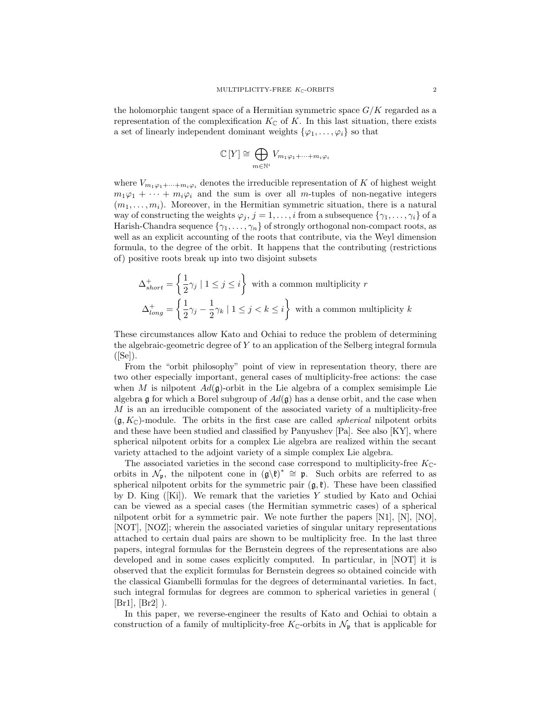the holomorphic tangent space of a Hermitian symmetric space  $G/K$  regarded as a representation of the complexification  $K_{\mathbb{C}}$  of K. In this last situation, there exists a set of linearly independent dominant weights  $\{\varphi_1, \ldots, \varphi_i\}$  so that

$$
\mathbb{C}\left[Y\right] \cong \bigoplus_{m \in \mathbb{N}^i} V_{m_1\varphi_1 + \dots + m_i\varphi_i}
$$

where  $V_{m_1\varphi_1+\cdots+m_i\varphi_i}$  denotes the irreducible representation of K of highest weight  $m_1\varphi_1 + \cdots + m_i\varphi_i$  and the sum is over all m-tuples of non-negative integers  $(m_1, \ldots, m_i)$ . Moreover, in the Hermitian symmetric situation, there is a natural way of constructing the weights  $\varphi_j$ ,  $j = 1, \ldots, i$  from a subsequence  $\{\gamma_1, \ldots, \gamma_i\}$  of a Harish-Chandra sequence  $\{\gamma_1, \ldots, \gamma_n\}$  of strongly orthogonal non-compact roots, as well as an explicit accounting of the roots that contribute, via the Weyl dimension formula, to the degree of the orbit. It happens that the contributing (restrictions of) positive roots break up into two disjoint subsets

$$
\Delta_{short}^{+} = \left\{ \frac{1}{2} \gamma_j \mid 1 \le j \le i \right\}
$$
 with a common multiplicity  $r$   

$$
\Delta_{long}^{+} = \left\{ \frac{1}{2} \gamma_j - \frac{1}{2} \gamma_k \mid 1 \le j < k \le i \right\}
$$
 with a common multiplicity  $k$ 

These circumstances allow Kato and Ochiai to reduce the problem of determining the algebraic-geometric degree of Y to an application of the Selberg integral formula  $([Se]).$ 

From the "orbit philosophy" point of view in representation theory, there are two other especially important, general cases of multiplicity-free actions: the case when M is nilpotent  $Ad(\mathfrak{g})$ -orbit in the Lie algebra of a complex semisimple Lie algebra g for which a Borel subgroup of  $Ad(g)$  has a dense orbit, and the case when M is an an irreducible component of the associated variety of a multiplicity-free  $(\mathfrak{g}, K_{\mathbb{C}})$ -module. The orbits in the first case are called *spherical* nilpotent orbits and these have been studied and classified by Panyushev [Pa]. See also [KY], where spherical nilpotent orbits for a complex Lie algebra are realized within the secant variety attached to the adjoint variety of a simple complex Lie algebra.

The associated varieties in the second case correspond to multiplicity-free  $K_{\mathbb{C}}$ orbits in  $\mathcal{N}_{p}$ , the nilpotent cone in  $(\mathfrak{g}\backslash\mathfrak{k})^*\cong\mathfrak{p}$ . Such orbits are referred to as spherical nilpotent orbits for the symmetric pair  $(\mathfrak{g}, \mathfrak{k})$ . These have been classified by D. King ([Ki]). We remark that the varieties Y studied by Kato and Ochiai can be viewed as a special cases (the Hermitian symmetric cases) of a spherical nilpotent orbit for a symmetric pair. We note further the papers  $[N1]$ ,  $[N]$ ,  $[N0]$ , [NOT], [NOZ]; wherein the associated varieties of singular unitary representations attached to certain dual pairs are shown to be multiplicity free. In the last three papers, integral formulas for the Bernstein degrees of the representations are also developed and in some cases explicitly computed. In particular, in [NOT] it is observed that the explicit formulas for Bernstein degrees so obtained coincide with the classical Giambelli formulas for the degrees of determinantal varieties. In fact, such integral formulas for degrees are common to spherical varieties in general (  $[Br1], [Br2]$ ).

In this paper, we reverse-engineer the results of Kato and Ochiai to obtain a construction of a family of multiplicity-free  $K_{\mathbb{C}}$ -orbits in  $\mathcal{N}_{\mathfrak{p}}$  that is applicable for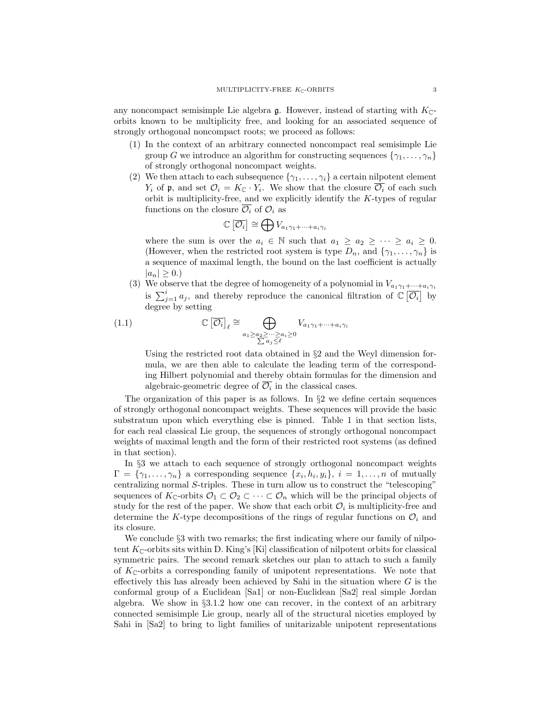any noncompact semisimple Lie algebra  $\mathfrak g$ . However, instead of starting with  $K_{\mathbb C}$ orbits known to be multiplicity free, and looking for an associated sequence of strongly orthogonal noncompact roots; we proceed as follows:

- (1) In the context of an arbitrary connected noncompact real semisimple Lie group G we introduce an algorithm for constructing sequences  $\{\gamma_1, \ldots, \gamma_n\}$ of strongly orthogonal noncompact weights.
- (2) We then attach to each subsequence  $\{\gamma_1, \ldots, \gamma_i\}$  a certain nilpotent element  $Y_i$  of p, and set  $\mathcal{O}_i = K_{\mathbb{C}} \cdot Y_i$ . We show that the closure  $\overline{\mathcal{O}_i}$  of each such orbit is multiplicity-free, and we explicitly identify the K-types of regular functions on the closure  $\overline{\mathcal{O}_i}$  of  $\mathcal{O}_i$  as

$$
\mathbb{C}\left[\overline{\mathcal{O}_i}\right] \cong \bigoplus V_{a_1\gamma_1 + \dots + a_i\gamma_i}
$$

where the sum is over the  $a_i \in \mathbb{N}$  such that  $a_1 \geq a_2 \geq \cdots \geq a_i \geq 0$ . (However, when the restricted root system is type  $D_n$ , and  $\{\gamma_1, \ldots, \gamma_n\}$  is a sequence of maximal length, the bound on the last coefficient is actually  $|a_n| > 0.$ 

(3) We observe that the degree of homogeneity of a polynomial in  $V_{a_1\gamma_1+\cdots+a_i\gamma_i}$ is  $\sum_{j=1}^{i} a_j$ , and thereby reproduce the canonical filtration of  $\mathbb{C}[\overline{\mathcal{O}_i}]$  by degree by setting

(1.1) 
$$
\mathbb{C}\left[\overline{\mathcal{O}_{i}}\right]_{\ell} \cong \bigoplus_{\substack{a_{1} \geq a_{2} \geq \cdots \geq a_{i} \geq 0 \\ \sum a_{j} \leq \ell}} V_{a_{1}\gamma_{1} + \cdots + a_{i}\gamma_{i}}
$$

Using the restricted root data obtained in  $\S 2$  and the Weyl dimension formula, we are then able to calculate the leading term of the corresponding Hilbert polynomial and thereby obtain formulas for the dimension and algebraic-geometric degree of  $\overline{\mathcal{O}_i}$  in the classical cases.

The organization of this paper is as follows. In §2 we define certain sequences of strongly orthogonal noncompact weights. These sequences will provide the basic substratum upon which everything else is pinned. Table 1 in that section lists, for each real classical Lie group, the sequences of strongly orthogonal noncompact weights of maximal length and the form of their restricted root systems (as defined in that section).

In §3 we attach to each sequence of strongly orthogonal noncompact weights  $\Gamma = \{\gamma_1, \ldots, \gamma_n\}$  a corresponding sequence  $\{x_i, h_i, y_i\}, i = 1, \ldots, n$  of mutually centralizing normal S-triples. These in turn allow us to construct the "telescoping" sequences of  $K_{\mathbb{C}}$ -orbits  $\mathcal{O}_1 \subset \mathcal{O}_2 \subset \cdots \subset \mathcal{O}_n$  which will be the principal objects of study for the rest of the paper. We show that each orbit  $\mathcal{O}_i$  is multiplicity-free and determine the K-type decompositions of the rings of regular functions on  $\mathcal{O}_i$  and its closure.

We conclude  $\S 3$  with two remarks; the first indicating where our family of nilpotent  $K_{\mathbb{C}}$ -orbits sits within D. King's [Ki] classification of nilpotent orbits for classical symmetric pairs. The second remark sketches our plan to attach to such a family of  $K_{\mathbb{C}}$ -orbits a corresponding family of unipotent representations. We note that effectively this has already been achieved by Sahi in the situation where  $G$  is the conformal group of a Euclidean [Sa1] or non-Euclidean [Sa2] real simple Jordan algebra. We show in §3.1.2 how one can recover, in the context of an arbitrary connected semisimple Lie group, nearly all of the structural niceties employed by Sahi in [Sa2] to bring to light families of unitarizable unipotent representations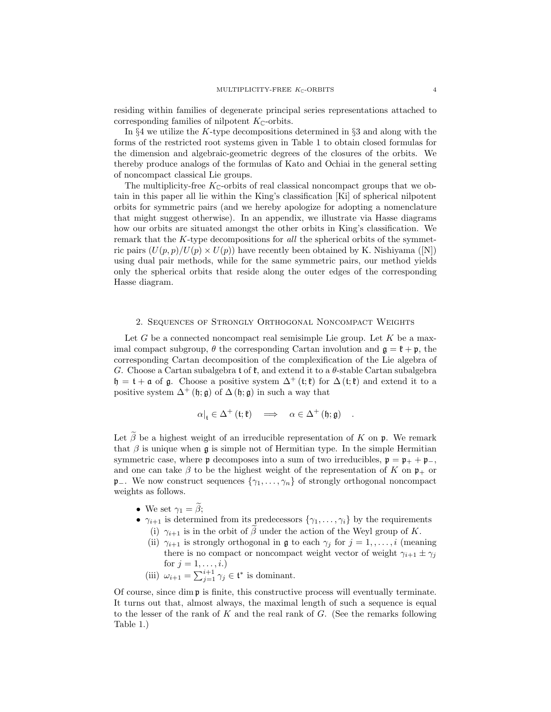residing within families of degenerate principal series representations attached to corresponding families of nilpotent  $K_{\mathbb{C}}$ -orbits.

In  $\S 4$  we utilize the K-type decompositions determined in  $\S 3$  and along with the forms of the restricted root systems given in Table 1 to obtain closed formulas for the dimension and algebraic-geometric degrees of the closures of the orbits. We thereby produce analogs of the formulas of Kato and Ochiai in the general setting of noncompact classical Lie groups.

The multiplicity-free  $K_{\mathbb{C}}$ -orbits of real classical noncompact groups that we obtain in this paper all lie within the King's classification [Ki] of spherical nilpotent orbits for symmetric pairs (and we hereby apologize for adopting a nomenclature that might suggest otherwise). In an appendix, we illustrate via Hasse diagrams how our orbits are situated amongst the other orbits in King's classification. We remark that the K-type decompositions for all the spherical orbits of the symmetric pairs  $(U(p, p)/U(p) \times U(p))$  have recently been obtained by K. Nishiyama ([N]) using dual pair methods, while for the same symmetric pairs, our method yields only the spherical orbits that reside along the outer edges of the corresponding Hasse diagram.

### 2. Sequences of Strongly Orthogonal Noncompact Weights

Let G be a connected noncompact real semisimple Lie group. Let K be a maximal compact subgroup,  $\theta$  the corresponding Cartan involution and  $\mathfrak{g} = \mathfrak{k} + \mathfrak{p}$ , the corresponding Cartan decomposition of the complexification of the Lie algebra of G. Choose a Cartan subalgebra t of  $\mathfrak{k}$ , and extend it to a  $\theta$ -stable Cartan subalgebra  $\mathfrak{h} = \mathfrak{t} + \mathfrak{a}$  of  $\mathfrak{g}$ . Choose a positive system  $\Delta^+(\mathfrak{t};\mathfrak{k})$  for  $\Delta(\mathfrak{t};\mathfrak{k})$  and extend it to a positive system  $\Delta^+$  (h; g) of  $\Delta$  (h; g) in such a way that

$$
\alpha|_{\mathfrak t}\in\Delta^+\left(\mathfrak t;\mathfrak k\right)\quad\Longrightarrow\quad\alpha\in\Delta^+\left(\mathfrak h;\mathfrak g\right)\quad.
$$

Let  $\widetilde{\beta}$  be a highest weight of an irreducible representation of K on p. We remark that  $\beta$  is unique when g is simple not of Hermitian type. In the simple Hermitian symmetric case, where **p** decomposes into a sum of two irreducibles,  $\mathbf{p} = \mathbf{p}_{+} + \mathbf{p}_{-}$ , and one can take  $\beta$  to be the highest weight of the representation of K on  $\mathfrak{p}_+$  or p−. We now construct sequences  $\{\gamma_1, \ldots, \gamma_n\}$  of strongly orthogonal noncompact weights as follows.

- We set  $\gamma_1 = \beta$ ;
- $\gamma_{i+1}$  is determined from its predecessors  $\{\gamma_1, \ldots, \gamma_i\}$  by the requirements
	- (i)  $\gamma_{i+1}$  is in the orbit of  $\beta$  under the action of the Weyl group of K.
	- (ii)  $\gamma_{i+1}$  is strongly orthogonal in g to each  $\gamma_j$  for  $j = 1, \ldots, i$  (meaning there is no compact or noncompact weight vector of weight  $\gamma_{i+1} \pm \gamma_j$ for  $j = 1, ..., i$ .)
	- (iii)  $\omega_{i+1} = \sum_{j=1}^{i+1} \gamma_j \in \mathfrak{t}^*$  is dominant.

Of course, since dim  $\mathfrak p$  is finite, this constructive process will eventually terminate. It turns out that, almost always, the maximal length of such a sequence is equal to the lesser of the rank of K and the real rank of  $G$ . (See the remarks following Table 1.)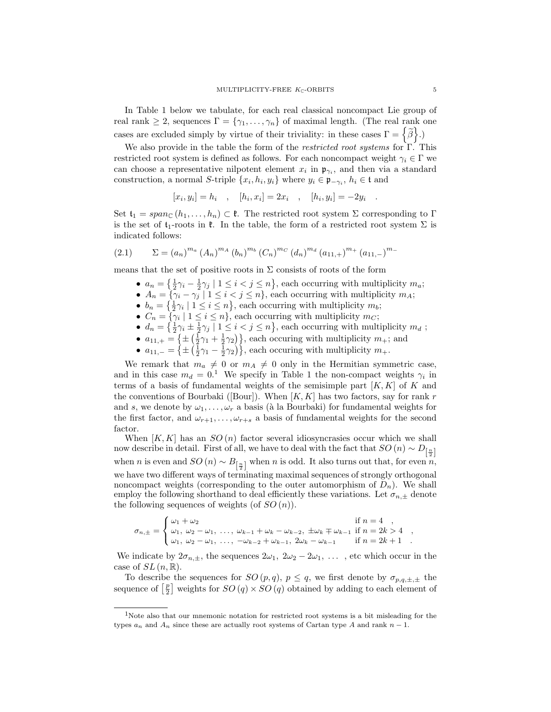In Table 1 below we tabulate, for each real classical noncompact Lie group of real rank  $\geq 2$ , sequences  $\Gamma = \{\gamma_1, \ldots, \gamma_n\}$  of maximal length. (The real rank one cases are excluded simply by virtue of their triviality: in these cases  $\Gamma = \left\{ \widetilde{\beta} \right\}$ .)

We also provide in the table the form of the *restricted root systems* for  $\Gamma$ . This restricted root system is defined as follows. For each noncompact weight  $\gamma_i \in \Gamma$  we can choose a representative nilpotent element  $x_i$  in  $\mathfrak{p}_{\gamma_i}$ , and then via a standard construction, a normal S-triple  $\{x_i, h_i, y_i\}$  where  $y_i \in \mathfrak{p}_{-\gamma_i}$ ,  $h_i \in \mathfrak{t}$  and

$$
[x_i, y_i] = h_i
$$
,  $[h_i, x_i] = 2x_i$ ,  $[h_i, y_i] = -2y_i$ 

Set  $\mathfrak{t}_1 = span_{\mathbb{C}}(h_1, \ldots, h_n) \subset \mathfrak{k}$ . The restricted root system  $\Sigma$  corresponding to  $\Gamma$ is the set of  $t_1$ -roots in  $\ell$ . In the table, the form of a restricted root system  $\Sigma$  is indicated follows:

(2.1) 
$$
\Sigma = (a_n)^{m_a} (A_n)^{m_b} (b_n)^{m_b} (C_n)^{m_c} (d_n)^{m_d} (a_{11,+})^{m_+} (a_{11,-})^{m_-}
$$

means that the set of positive roots in  $\Sigma$  consists of roots of the form

- $a_n = \left\{\frac{1}{2}\gamma_i \frac{1}{2}\gamma_j \mid 1 \leq i < j \leq n\right\}$ , each occurring with multiplicity  $m_a$ ;
- $A_n = \{ \gamma_i \gamma_j \mid 1 \leq i < j \leq n \}$ , each occurring with multiplicity  $m_A$ ;
- $b_n = \{\frac{1}{2}\gamma_i \mid 1 \leq i \leq n\}$ , each occurring with multiplicity  $m_b$ ;
- $C_n = \{ \gamma_i \mid 1 \leq i \leq n \}$ , each occurring with multiplicity  $m_C$ ;
- $d_n = \left\{\frac{1}{2}\gamma_i \pm \frac{1}{2}\gamma_j \mid 1 \leq i < j \leq n\right\}$ , each occurring with multiplicity  $m_d$ ;
- $a_{11,+} = \left\{ \pm \left( \frac{1}{2}\gamma_1 + \frac{1}{2}\gamma_2 \right) \right\}$ , each occuring with multiplicity  $m_+$ ; and
- $a_{11,-} = \left\{ \pm \left( \frac{1}{2}\gamma_1 \frac{1}{2}\gamma_2 \right) \right\}$ , each occuring with multiplicity  $m_+$ .

We remark that  $m_a \neq 0$  or  $m_A \neq 0$  only in the Hermitian symmetric case, and in this case  $m_d = 0.1$  We specify in Table 1 the non-compact weights  $\gamma_i$  in terms of a basis of fundamental weights of the semisimple part  $[K, K]$  of K and the conventions of Bourbaki ([Bour]). When  $[K, K]$  has two factors, say for rank r and s, we denote by  $\omega_1, \ldots, \omega_r$  a basis (à la Bourbaki) for fundamental weights for the first factor, and  $\omega_{r+1}, \ldots, \omega_{r+s}$  a basis of fundamental weights for the second factor.

When  $[K, K]$  has an  $SO(n)$  factor several idiosyncrasies occur which we shall now describe in detail. First of all, we have to deal with the fact that  $SO\left(n\right) \sim D_{\left[\frac{n}{2}\right]}$ when *n* is even and  $SO(n) \sim B_{\left[\frac{n}{2}\right]}$  when *n* is odd. It also turns out that, for even *n*, we have two different ways of terminating maximal sequences of strongly orthogonal noncompact weights (corresponding to the outer automorphism of  $D_n$ ). We shall employ the following shorthand to deal efficiently these variations. Let  $\sigma_{n,\pm}$  denote the following sequences of weights (of  $SO(n)$ ).

$$
\sigma_{n,\pm} = \begin{cases}\n\omega_1 + \omega_2 & \text{if } n = 4, \\
\omega_1, \omega_2 - \omega_1, \dots, \omega_{k-1} + \omega_k - \omega_{k-2}, \pm \omega_k \mp \omega_{k-1} & \text{if } n = 2k > 4, \\
\omega_1, \omega_2 - \omega_1, \dots, -\omega_{k-2} + \omega_{k-1}, 2\omega_k - \omega_{k-1} & \text{if } n = 2k + 1.\n\end{cases}
$$

We indicate by  $2\sigma_{n,\pm}$ , the sequences  $2\omega_1$ ,  $2\omega_2 - 2\omega_1$ , ..., etc which occur in the case of  $SL(n,\mathbb{R})$ .

To describe the sequences for  $SO(p,q)$ ,  $p \leq q$ , we first denote by  $\sigma_{p,q,\pm,\pm}$  the sequence of  $\left[\frac{p}{2}\right]$  weights for  $SO(q) \times SO(q)$  obtained by adding to each element of

.

<sup>1</sup>Note also that our mnemonic notation for restricted root systems is a bit misleading for the types  $a_n$  and  $A_n$  since these are actually root systems of Cartan type A and rank  $n-1$ .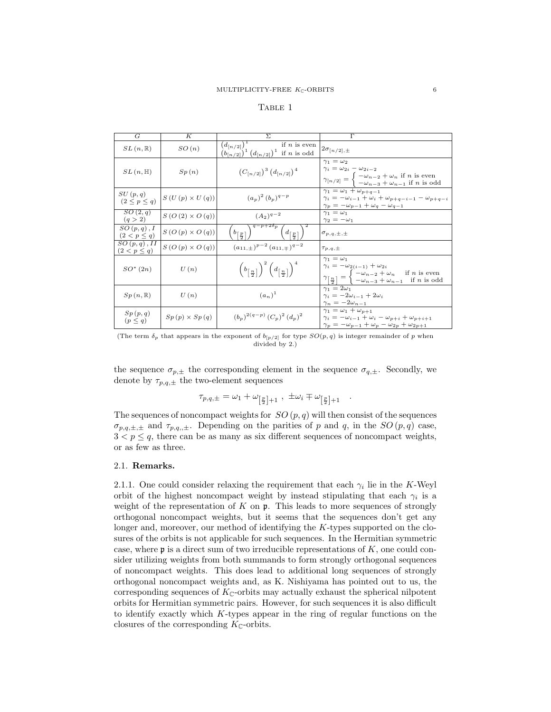| $\overline{G}$                     | $\overline{K}$                                        | $\Sigma$                                                                                                          | $\overline{\Gamma}$                                                                                                                                                                                                                                                            |
|------------------------------------|-------------------------------------------------------|-------------------------------------------------------------------------------------------------------------------|--------------------------------------------------------------------------------------------------------------------------------------------------------------------------------------------------------------------------------------------------------------------------------|
| $SL(n,\mathbb{R})$                 | SO(n)                                                 | $(d_{[n/2]})^{\mathbb{1}}$<br>if $n$ is even<br>$(b_{[n/2]})^1 (d_{[n/2]})^1$ if <i>n</i> is odd                  | $2\sigma_{[n/2],\pm}$                                                                                                                                                                                                                                                          |
| $SL(n, \mathbb{H})$                | Sp(n)                                                 | $(C_{n/2l})^3 (d_{n/2l})^4$                                                                                       | $\gamma_1 = \omega_2$<br>$\gamma_i = \omega_{2i} - \omega_{2i-2}$<br>$\gamma_{[n/2]} = \begin{cases} -\omega_{n-2} + \omega_n & \text{if } n \text{ is even} \\ -\omega_{n-3} + \omega_{n-1} & \text{if } n \text{ is odd} \end{cases}$                                        |
| SU(p,q)<br>$(2 \leq p \leq q)$     | $S(U(p) \times U(q))$                                 | $(a_p)^2 (b_p)^{q-p}$                                                                                             | $\gamma_1 = \omega_1 + \omega_{p+q-1}$<br>$\gamma_i = -\omega_{i-1} + \omega_i + \omega_{p+q-i-1} - \omega_{p+q-i}$<br>$\gamma_p = -\omega_{p-1} + \omega_q - \omega_{q-1}$                                                                                                    |
| SO(2,q)<br>(q > 2)                 | $S(O(2) \times O(q))$                                 | $(A_2)^{q-2}$                                                                                                     | $\gamma_1 = \omega_1$<br>$\gamma_2 = -\omega_1$                                                                                                                                                                                                                                |
| $SO(p,q)$ , I<br>$(2 < p \leq q)$  | $S(O(p) \times O(q))$                                 | $q-p+2\delta p$<br>$\left(d_{\left\lceil\frac{n}{2}\right\rceil}\right)$<br>$\lfloor b \rfloor \frac{p}{2}$       | $\sigma_{p,q,\pm,\pm}$                                                                                                                                                                                                                                                         |
| $SO(p,q)$ , II<br>$(2 < p \leq q)$ | $S\left(O\left(p\right)\times O\left(q\right)\right)$ | $(a_{11,\pm})^{p-2}$ $(a_{11,\mp})^{q-2}$                                                                         | $\tau_{p,q,\pm}$                                                                                                                                                                                                                                                               |
| $SO^*(2n)$                         | U(n)                                                  | $\left(b_{\left\lceil \frac{n}{2} \right\rceil}\right)^2 \left(d_{\left\lceil \frac{n}{2} \right\rceil}\right)^4$ | $\gamma_1 = \omega_1$<br>$\gamma_i = -\omega_{2(i-1)} + \omega_{2i}$<br>$\gamma_{\left[\frac{n}{2}\right]} = \begin{cases} -\omega_{n-2} + \omega_n & \text{if } n \text{ is even} \\ -\omega_{n-3} + \omega_{n-1} & \text{if } n \text{ is odd} \end{cases}$<br>if $n$ is odd |
| $Sp(n,\mathbb{R})$                 | U(n)                                                  | $(a_n)^1$                                                                                                         | $\gamma_1 = 2\omega_1$<br>$\gamma_i = -2\omega_{i-1} + 2\omega_i$<br>$\gamma_n = -2\omega_{n-1}$                                                                                                                                                                               |
| Sp(p,q)<br>$(p \leq q)$            | $Sp(p) \times Sp(q)$                                  | $(b_p)^{2(q-p)} (C_p)^2 (d_p)^2$                                                                                  | $\gamma_1 = \omega_1 + \omega_{p+1}$<br>$\gamma_i = -\omega_{i-1} + \omega_i - \omega_{p+i} + \omega_{p+i+1}$<br>$\gamma_p = -\omega_{p-1} + \omega_p - \omega_{2p} + \omega_{2p+1}$                                                                                           |

(The term  $\delta_p$  that appears in the exponent of  $b_{[p/2]}$  for type  $SO(p,q)$  is integer remainder of p when divided by 2.)

the sequence  $\sigma_{p,\pm}$  the corresponding element in the sequence  $\sigma_{q,\pm}$ . Secondly, we denote by  $\tau_{p,q,\pm}$  the two-element sequences

$$
\tau_{p,q,\pm} = \omega_1 + \omega_{\left[\frac{p}{2}\right]+1} , \pm \omega_i \mp \omega_{\left[\frac{p}{2}\right]+1} .
$$

The sequences of noncompact weights for  $SO(p, q)$  will then consist of the sequences  $\sigma_{p,q,\pm,\pm}$  and  $\tau_{p,q,,\pm}$ . Depending on the parities of p and q, in the SO  $(p,q)$  case,  $3 < p \leq q$ , there can be as many as six different sequences of noncompact weights, or as few as three.

### 2.1. Remarks.

2.1.1. One could consider relaxing the requirement that each  $\gamma_i$  lie in the K-Weyl orbit of the highest noncompact weight by instead stipulating that each  $\gamma_i$  is a weight of the representation of  $K$  on  $\mathfrak{p}$ . This leads to more sequences of strongly orthogonal noncompact weights, but it seems that the sequences don't get any longer and, moreover, our method of identifying the K-types supported on the closures of the orbits is not applicable for such sequences. In the Hermitian symmetric case, where  $\mathfrak p$  is a direct sum of two irreducible representations of  $K$ , one could consider utilizing weights from both summands to form strongly orthogonal sequences of noncompact weights. This does lead to additional long sequences of strongly orthogonal noncompact weights and, as K. Nishiyama has pointed out to us, the corresponding sequences of  $K_{\mathbb{C}}$ -orbits may actually exhaust the spherical nilpotent orbits for Hermitian symmetric pairs. However, for such sequences it is also difficult to identify exactly which K-types appear in the ring of regular functions on the closures of the corresponding  $K_{\mathbb{C}}$ -orbits.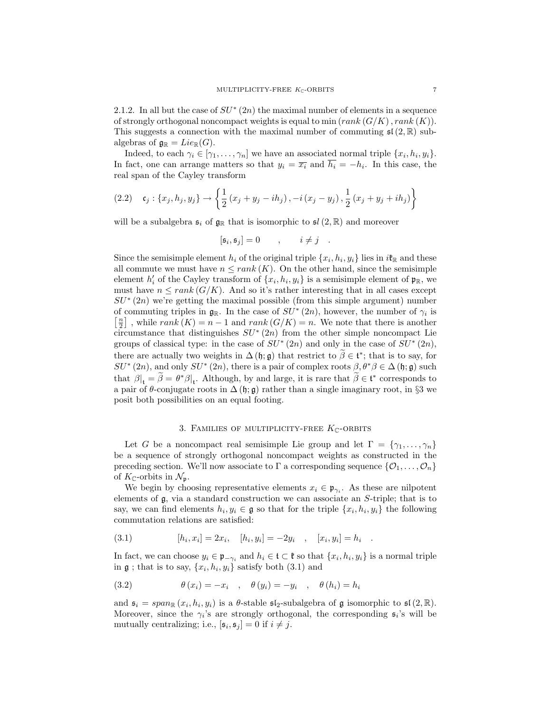2.1.2. In all but the case of  $SU^*(2n)$  the maximal number of elements in a sequence of strongly orthogonal noncompact weights is equal to min  $(rank (G/K), rank (K))$ . This suggests a connection with the maximal number of commuting  $\mathfrak{sl}(2,\mathbb{R})$  subalgebras of  $\mathfrak{g}_{\mathbb{R}} = Lie_{\mathbb{R}}(G)$ .

Indeed, to each  $\gamma_i \in [\gamma_1, \ldots, \gamma_n]$  we have an associated normal triple  $\{x_i, h_i, y_i\}$ . In fact, one can arrange matters so that  $y_i = \overline{x_i}$  and  $h_i = -h_i$ . In this case, the real span of the Cayley transform

(2.2) 
$$
\mathfrak{c}_j : \{x_j, h_j, y_j\} \to \left\{ \frac{1}{2} (x_j + y_j - ih_j), -i (x_j - y_j), \frac{1}{2} (x_j + y_j + ih_j) \right\}
$$

will be a subalgebra  $\mathfrak{s}_i$  of  $\mathfrak{g}_{\mathbb{R}}$  that is isomorphic to  $\mathfrak{sl}(2,\mathbb{R})$  and moreover

$$
[\mathfrak{s}_i, \mathfrak{s}_j] = 0 \qquad , \qquad i \neq j \quad .
$$

Since the semisimple element  $h_i$  of the original triple  $\{x_i, h_i, y_i\}$  lies in  $i\mathfrak{k}_\mathbb{R}$  and these all commute we must have  $n \leq rank(K)$ . On the other hand, since the semisimple element  $h'_i$  of the Cayley transform of  $\{x_i, h_i, y_i\}$  is a semisimple element of  $\mathfrak{p}_{\mathbb{R}}$ , we must have  $n \leq rank(G/K)$ . And so it's rather interesting that in all cases except  $SU^{*}(2n)$  we're getting the maximal possible (from this simple argument) number of commuting triples in  $\mathfrak{g}_{\mathbb{R}}$ . In the case of  $SU^*(2n)$ , however, the number of  $\gamma_i$  is  $\left[\frac{n}{2}\right]$ , while  $rank(K) = n - 1$  and  $rank(G/K) = n$ . We note that there is another circumstance that distinguishes  $SU^*(2n)$  from the other simple noncompact Lie groups of classical type: in the case of  $SU^*(2n)$  and only in the case of  $SU^*(2n)$ , there are actually two weights in  $\Delta(\mathfrak{h}; \mathfrak{g})$  that restrict to  $\tilde{\beta} \in \mathfrak{t}^*$ ; that is to say, for  $SU^*(2n)$ , and only  $SU^*(2n)$ , there is a pair of complex roots  $\beta, \theta^* \beta \in \Delta(\mathfrak{h}; \mathfrak{g})$  such that  $\beta|_{\mathfrak{t}} = \beta = \theta^* \beta|_{\mathfrak{t}}$ . Although, by and large, it is rare that  $\beta \in \mathfrak{t}^*$  corresponds to a pair of  $\theta$ -conjugate roots in  $\Delta(\mathfrak{h}; \mathfrak{g})$  rather than a single imaginary root, in §3 we posit both possibilities on an equal footing.

### 3. FAMILIES OF MULTIPLICITY-FREE  $K_{\mathbb{C}}$ -ORBITS

Let G be a noncompact real semisimple Lie group and let  $\Gamma = \{\gamma_1, \ldots, \gamma_n\}$ be a sequence of strongly orthogonal noncompact weights as constructed in the preceding section. We'll now associate to Γ a corresponding sequence  $\{0_1, \ldots, 0_n\}$ of  $K_{\mathbb{C}}$ -orbits in  $\mathcal{N}_{\mathfrak{p}}$ .

We begin by choosing representative elements  $x_i \in \mathfrak{p}_{\gamma_i}$ . As these are nilpotent elements of g, via a standard construction we can associate an S-triple; that is to say, we can find elements  $h_i, y_i \in \mathfrak{g}$  so that for the triple  $\{x_i, h_i, y_i\}$  the following commutation relations are satisfied:

(3.1) 
$$
[h_i, x_i] = 2x_i, \quad [h_i, y_i] = -2y_i \quad , \quad [x_i, y_i] = h_i
$$

In fact, we can choose  $y_i \in \mathfrak{p}_{-\gamma_i}$  and  $h_i \in \mathfrak{t} \subset \mathfrak{k}$  so that  $\{x_i, h_i, y_i\}$  is a normal triple in  $\mathfrak g$ ; that is to say,  $\{x_i, h_i, y_i\}$  satisfy both  $(3.1)$  and

.

(3.2) 
$$
\theta(x_i) = -x_i \quad , \quad \theta(y_i) = -y_i \quad , \quad \theta(h_i) = h_i
$$

and  $\mathfrak{s}_i = span_{\mathbb{R}}(x_i, h_i, y_i)$  is a  $\theta$ -stable  $\mathfrak{sl}_2$ -subalgebra of  $\mathfrak g$  isomorphic to  $\mathfrak{sl}(2,\mathbb{R})$ . Moreover, since the  $\gamma_i$ 's are strongly orthogonal, the corresponding  $\mathfrak{s}_i$ 's will be mutually centralizing; i.e.,  $[\mathfrak{s}_i, \mathfrak{s}_j] = 0$  if  $i \neq j$ .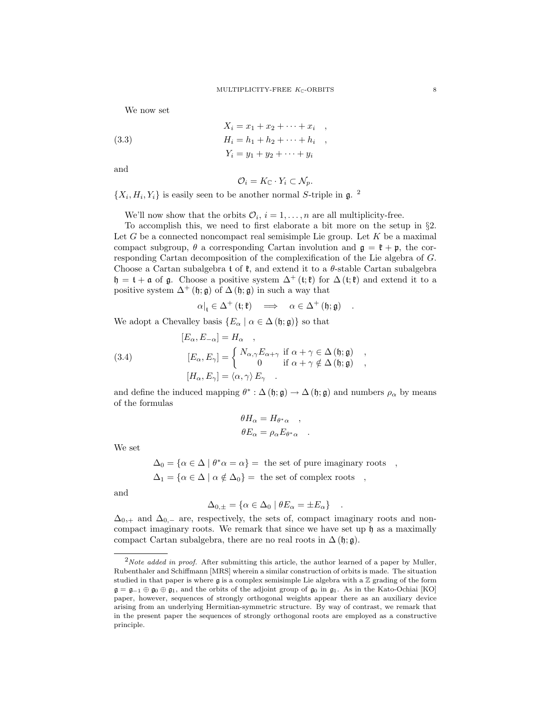We now set

(3.3) 
$$
X_i = x_1 + x_2 + \dots + x_i ,
$$

$$
H_i = h_1 + h_2 + \dots + h_i ,
$$

$$
Y_i = y_1 + y_2 + \dots + y_i
$$

and

$$
\mathcal{O}_i = K_{\mathbb{C}} \cdot Y_i \subset \mathcal{N}_p.
$$

 $\{X_i, H_i, Y_i\}$  is easily seen to be another normal S-triple in  $\mathfrak{g}$ . <sup>2</sup>

We'll now show that the orbits  $\mathcal{O}_i$ ,  $i = 1, \ldots, n$  are all multiplicity-free.

To accomplish this, we need to first elaborate a bit more on the setup in §2. Let  $G$  be a connected noncompact real semisimple Lie group. Let  $K$  be a maximal compact subgroup,  $\theta$  a corresponding Cartan involution and  $\mathfrak{g} = \mathfrak{k} + \mathfrak{p}$ , the corresponding Cartan decomposition of the complexification of the Lie algebra of G. Choose a Cartan subalgebra t of  $\mathfrak{k}$ , and extend it to a  $\theta$ -stable Cartan subalgebra  $\mathfrak{h} = \mathfrak{t} + \mathfrak{a}$  of  $\mathfrak{g}$ . Choose a positive system  $\Delta^+(\mathfrak{t};\mathfrak{k})$  for  $\Delta(\mathfrak{t};\mathfrak{k})$  and extend it to a positive system  $\Delta^+$  (h; g) of  $\Delta$  (h; g) in such a way that

$$
\alpha|_{\mathfrak{t}} \in \Delta^+ \left( \mathfrak{t}; \mathfrak{k} \right) \quad \Longrightarrow \quad \alpha \in \Delta^+ \left( \mathfrak{h}; \mathfrak{g} \right) \quad .
$$

We adopt a Chevalley basis  $\{E_{\alpha} \mid \alpha \in \Delta(\mathfrak{h}; \mathfrak{g})\}$  so that

(3.4)  
\n
$$
[E_{\alpha}, E_{-\alpha}] = H_{\alpha} ,
$$
\n
$$
[E_{\alpha}, E_{\gamma}] = \begin{cases} N_{\alpha,\gamma} E_{\alpha+\gamma} & \text{if } \alpha + \gamma \in \Delta \ (\mathfrak{h}; \mathfrak{g}) \\ 0 & \text{if } \alpha + \gamma \notin \Delta \ (\mathfrak{h}; \mathfrak{g}) \end{cases} ,
$$
\n
$$
[H_{\alpha}, E_{\gamma}] = \langle \alpha, \gamma \rangle E_{\gamma} .
$$

and define the induced mapping  $\theta^* : \Delta(\mathfrak{h}; \mathfrak{g}) \to \Delta(\mathfrak{h}; \mathfrak{g})$  and numbers  $\rho_\alpha$  by means of the formulas

$$
\theta H_{\alpha} = H_{\theta^* \alpha} ,
$$
  

$$
\theta E_{\alpha} = \rho_{\alpha} E_{\theta^* \alpha} .
$$

We set

 $\Delta_0 = {\alpha \in \Delta \mid \theta^* \alpha = \alpha}$  = the set of pure imaginary roots,  $\Delta_1 = {\alpha \in \Delta \mid \alpha \notin \Delta_0} = \text{ the set of complex roots },$ 

and

$$
\Delta_{0,\pm} = \{ \alpha \in \Delta_0 \mid \theta E_\alpha = \pm E_\alpha \} .
$$

 $\Delta_{0,+}$  and  $\Delta_{0,-}$  are, respectively, the sets of, compact imaginary roots and noncompact imaginary roots. We remark that since we have set up  $\mathfrak h$  as a maximally compact Cartan subalgebra, there are no real roots in  $\Delta(\mathfrak{h}; \mathfrak{g})$ .

 $2Note added in proof. After submitting this article, the author learned of a paper by Muller,$ Rubenthaler and Schiffmann [MRS] wherein a similar construction of orbits is made. The situation studied in that paper is where  $\mathfrak g$  is a complex semisimple Lie algebra with a  $\mathbb Z$  grading of the form  $\mathfrak{g} = \mathfrak{g}_{-1} \oplus \mathfrak{g}_0 \oplus \mathfrak{g}_1$ , and the orbits of the adjoint group of  $\mathfrak{g}_0$  in  $\mathfrak{g}_1$ . As in the Kato-Ochiai [KO] paper, however, sequences of strongly orthogonal weights appear there as an auxiliary device arising from an underlying Hermitian-symmetric structure. By way of contrast, we remark that in the present paper the sequences of strongly orthogonal roots are employed as a constructive principle.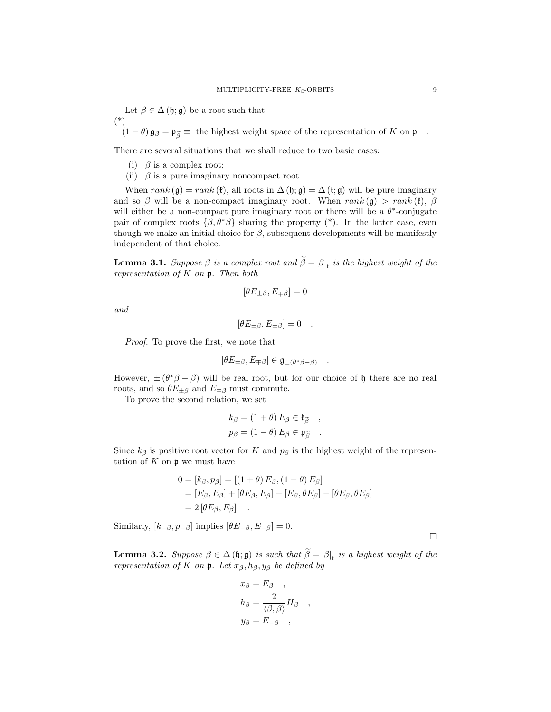Let  $\beta \in \Delta(\mathfrak{h}; \mathfrak{g})$  be a root such that (\*)

 $(1 - \theta)$   $\mathfrak{g}_{\beta} = \mathfrak{p}_{\widetilde{\beta}} \equiv$  the highest weight space of the representation of K on  $\mathfrak{p}$ .

There are several situations that we shall reduce to two basic cases:

- (i)  $\beta$  is a complex root;
- (ii)  $\beta$  is a pure imaginary noncompact root.

When rank  $(\mathfrak{g}) = rank(\mathfrak{k})$ , all roots in  $\Delta(\mathfrak{h}; \mathfrak{g}) = \Delta(\mathfrak{t}; \mathfrak{g})$  will be pure imaginary and so  $\beta$  will be a non-compact imaginary root. When rank (g) > rank (k),  $\beta$ will either be a non-compact pure imaginary root or there will be a  $\theta^*$ -conjugate pair of complex roots  $\{\beta, \theta^*\beta\}$  sharing the property (\*). In the latter case, even though we make an initial choice for  $\beta$ , subsequent developments will be manifestly independent of that choice.

**Lemma 3.1.** Suppose  $\beta$  is a complex root and  $\beta = \beta|_t$  is the highest weight of the representation of  $K$  on  $\mathfrak p$ . Then both

$$
[\theta E_{\pm\beta}, E_{\mp\beta}] = 0
$$

and

$$
[\theta E_{\pm\beta}, E_{\pm\beta}] = 0 .
$$

Proof. To prove the first, we note that

$$
[\theta E_{\pm\beta}, E_{\mp\beta}] \in \mathfrak{g}_{\pm(\theta^*\beta-\beta)} \quad .
$$

However,  $\pm (\theta^* \beta - \beta)$  will be real root, but for our choice of h there are no real roots, and so  $\theta E_{\pm\beta}$  and  $E_{\mp\beta}$  must commute.

To prove the second relation, we set

$$
k_{\beta} = (1 + \theta) E_{\beta} \in \mathfrak{k}_{\widetilde{\beta}} ,
$$
  

$$
p_{\beta} = (1 - \theta) E_{\beta} \in \mathfrak{p}_{\widetilde{\beta}} .
$$

Since  $k_{\beta}$  is positive root vector for K and  $p_{\beta}$  is the highest weight of the representation of  $K$  on  $\mathfrak p$  we must have

$$
0 = [k_{\beta}, p_{\beta}] = [(1 + \theta) E_{\beta}, (1 - \theta) E_{\beta}]
$$
  
= [E\_{\beta}, E\_{\beta}] + [\theta E\_{\beta}, E\_{\beta}] - [E\_{\beta}, \theta E\_{\beta}] - [\theta E\_{\beta}, \theta E\_{\beta}]  
= 2 [\theta E\_{\beta}, E\_{\beta}] .

Similarly,  $[k_{-\beta}, p_{-\beta}]$  implies  $[\theta E_{-\beta}, E_{-\beta}] = 0$ .

**Lemma 3.2.** Suppose  $\beta \in \Delta(\mathfrak{h}; \mathfrak{g})$  is such that  $\beta = \beta|_{\mathfrak{t}}$  is a highest weight of the representation of K on p. Let  $x_{\beta}, h_{\beta}, y_{\beta}$  be defined by

$$
x_{\beta} = E_{\beta} ,
$$
  
\n
$$
h_{\beta} = \frac{2}{\langle \beta, \beta \rangle} H_{\beta} ,
$$
  
\n
$$
y_{\beta} = E_{-\beta} ,
$$

 $\Box$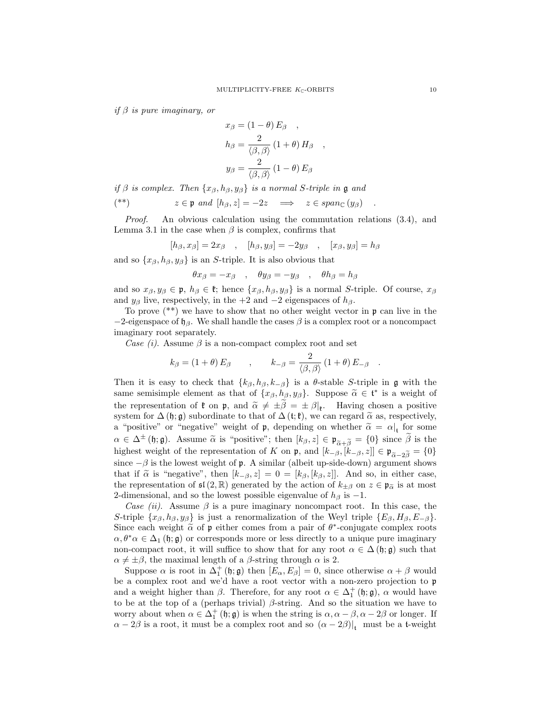if  $\beta$  is pure imaginary, or

$$
x_{\beta} = (1 - \theta) E_{\beta} ,
$$
  
\n
$$
h_{\beta} = \frac{2}{\langle \beta, \beta \rangle} (1 + \theta) H_{\beta} ,
$$
  
\n
$$
y_{\beta} = \frac{2}{\langle \beta, \beta \rangle} (1 - \theta) E_{\beta}
$$

if  $\beta$  is complex. Then  $\{x_{\beta}, h_{\beta}, y_{\beta}\}\$ is a normal S-triple in  $\mathfrak g$  and

$$
(*) \t z \in \mathfrak{p} \text{ and } [h_{\beta}, z] = -2z \implies z \in span_{\mathbb{C}}(y_{\beta}) .
$$

Proof. An obvious calculation using the commutation relations (3.4), and Lemma 3.1 in the case when  $\beta$  is complex, confirms that

$$
[h_{\beta}, x_{\beta}] = 2x_{\beta} \quad , \quad [h_{\beta}, y_{\beta}] = -2y_{\beta} \quad , \quad [x_{\beta}, y_{\beta}] = h_{\beta}
$$

and so  $\{x_{\beta}, h_{\beta}, y_{\beta}\}\$ is an S-triple. It is also obvious that

$$
\theta x_{\beta} = -x_{\beta} \quad , \quad \theta y_{\beta} = -y_{\beta} \quad , \quad \theta h_{\beta} = h_{\beta}
$$

and so  $x_{\beta}, y_{\beta} \in \mathfrak{p}, h_{\beta} \in \mathfrak{k}$ ; hence  $\{x_{\beta}, h_{\beta}, y_{\beta}\}\$ is a normal S-triple. Of course,  $x_{\beta}$ and  $y_\beta$  live, respectively, in the +2 and -2 eigenspaces of  $h_\beta$ .

To prove (\*\*) we have to show that no other weight vector in p can live in the  $-2$ -eigenspace of  $\mathfrak{h}_{\beta}$ . We shall handle the cases  $\beta$  is a complex root or a noncompact imaginary root separately.

Case (i). Assume  $\beta$  is a non-compact complex root and set

$$
k_{\beta} = (1 + \theta) E_{\beta} , \qquad k_{-\beta} = \frac{2}{\langle \beta, \beta \rangle} (1 + \theta) E_{-\beta} .
$$

Then it is easy to check that  $\{k_{\beta}, h_{\beta}, k_{-\beta}\}\$  is a  $\theta$ -stable S-triple in g with the same semisimple element as that of  $\{x_{\beta}, h_{\beta}, y_{\beta}\}\)$ . Suppose  $\tilde{\alpha} \in \mathfrak{t}^*$  is a weight of the representation of  $\mathfrak{k}$  on  $\mathfrak{p}$ , and  $\tilde{\alpha} \neq \pm \beta = \pm \beta|_{\mathfrak{k}}$ . Having chosen a positive<br>system for  $\Lambda$  (h, a) subordinate to that of  $\Lambda$  (t,  $\mathfrak{k}$ ) we can regard  $\tilde{\alpha}$  as respectively. system for  $\Delta(\mathfrak{h}; \mathfrak{g})$  subordinate to that of  $\Delta(\mathfrak{t}; \mathfrak{k})$ , we can regard  $\tilde{\alpha}$  as, respectively, a "positive" or "negative" weight of p, depending on whether  $\tilde{\alpha} = \alpha|_{t}$  for some  $\alpha \in \Delta^{\pm}(\mathfrak{h};\mathfrak{g})$ . Assume  $\widetilde{\alpha}$  is "positive"; then  $[k_{\beta},z] \in \mathfrak{p}_{\widetilde{\alpha}+\widetilde{\beta}}=\{0\}$  since  $\widetilde{\beta}$  is the highest weight of the representation of K on p, and  $[k_{-\beta}, [k_{-\beta}, z]] \in \mathfrak{p}_{\tilde{\alpha}-2\tilde{\beta}} = \{0\}$ since  $-\beta$  is the lowest weight of **p**. A similar (albeit up-side-down) argument shows that if  $\tilde{\alpha}$  is "negative", then  $[k_{-\beta}, z] = 0 = [k_{\beta}, [k_{\beta}, z]]$ . And so, in either case, the representation of  $\mathfrak{sl}(2,\mathbb{R})$  generated by the action of  $k_{\pm\beta}$  on  $z \in \mathfrak{p}_{\widetilde{\alpha}}$  is at most 2-dimensional, and so the lowest possible eigenvalue of  $h_\beta$  is  $-1$ .

Case (ii). Assume  $\beta$  is a pure imaginary noncompact root. In this case, the S-triple  $\{x_{\beta}, h_{\beta}, y_{\beta}\}\$ is just a renormalization of the Weyl triple  $\{E_{\beta}, H_{\beta}, E_{-\beta}\}.$ Since each weight  $\tilde{\alpha}$  of p either comes from a pair of  $\theta^*$ -conjugate complex roots  $\alpha, \theta^* \alpha \in \Lambda$ , (b) a) or corresponds more or loss directly to a unique pure imaginary  $\alpha, \theta^* \alpha \in \Delta_1$  (h; g) or corresponds more or less directly to a unique pure imaginary non-compact root, it will suffice to show that for any root  $\alpha \in \Delta(\mathfrak{h}; \mathfrak{g})$  such that  $\alpha \neq \pm \beta$ , the maximal length of a  $\beta$ -string through  $\alpha$  is 2.

Suppose  $\alpha$  is root in  $\Delta_1^+$  (h; g) then  $[E_\alpha, E_\beta] = 0$ , since otherwise  $\alpha + \beta$  would be a complex root and we'd have a root vector with a non-zero projection to p and a weight higher than  $\beta$ . Therefore, for any root  $\alpha \in \Delta_1^+$  ( $\mathfrak{h}; \mathfrak{g}$ ),  $\alpha$  would have to be at the top of a (perhaps trivial)  $\beta$ -string. And so the situation we have to worry about when  $\alpha \in \Delta_1^+$  (h; g) is when the string is  $\alpha, \alpha - \beta, \alpha - 2\beta$  or longer. If  $\alpha - 2\beta$  is a root, it must be a complex root and so  $(\alpha - 2\beta)|_t$  must be a t-weight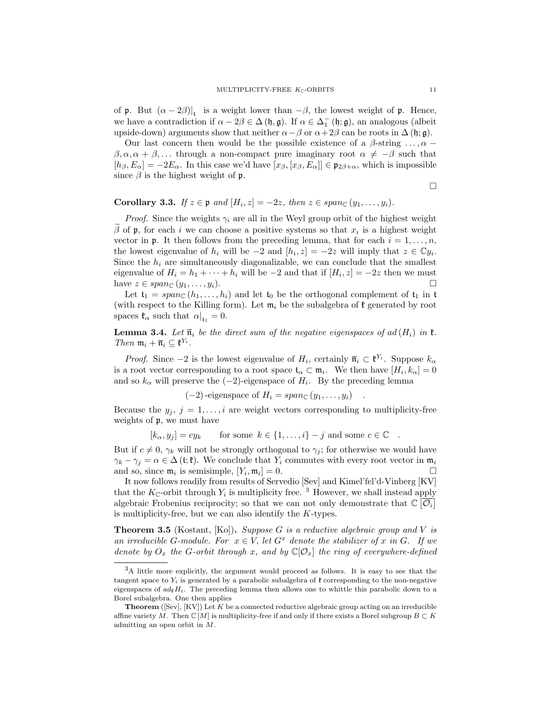of **p**. But  $(\alpha - 2\beta)|_t$  is a weight lower than  $-\beta$ , the lowest weight of **p**. Hence, we have a contradiction if  $\alpha - 2\beta \in \Delta(\mathfrak{h}, \mathfrak{g})$ . If  $\alpha \in \Delta_1^-(\mathfrak{h}; \mathfrak{g})$ , an analogous (albeit upside-down) arguments show that neither  $\alpha-\beta$  or  $\alpha+2\beta$  can be roots in  $\Delta(\mathfrak{h};\mathfrak{g})$ .

Our last concern then would be the possible existence of a  $\beta$ -string ...,  $\alpha$  −  $\beta, \alpha, \alpha + \beta, \ldots$  through a non-compact pure imaginary root  $\alpha \neq -\beta$  such that  $[h_\beta, E_\alpha] = -2E_\alpha$ . In this case we'd have  $[x_\beta, [x_\beta, E_\alpha]] \in \mathfrak{p}_{2\beta+\alpha}$ , which is impossible since  $\beta$  is the highest weight of p.

 $\Box$ 

Corollary 3.3. If  $z \in \mathfrak{p}$  and  $[H_i, z] = -2z$ , then  $z \in span_{\mathbb{C}} (y_1, \ldots, y_i)$ .

*Proof.* Since the weights  $\gamma_i$  are all in the Weyl group orbit of the highest weight β of **p**, for each *i* we can choose a positive systems so that  $x_i$  is a highest weight vector in  $\mathfrak p$ . It then follows from the preceding lemma, that for each  $i = 1, \ldots, n$ , the lowest eigenvalue of  $h_i$  will be  $-2$  and  $[h_i, z] = -2z$  will imply that  $z \in \mathbb{C}y_i$ . Since the  $h_i$  are simultaneously diagonalizable, we can conclude that the smallest eigenvalue of  $H_i = h_1 + \cdots + h_i$  will be  $-2$  and that if  $[H_i, z] = -2z$  then we must have  $z \in span_{\mathbb{C}} (y_1, \ldots, y_i).$ 

Let  $\mathfrak{t}_1 = span_{\mathbb{C}}(h_1, \ldots, h_i)$  and let  $\mathfrak{t}_0$  be the orthogonal complement of  $\mathfrak{t}_1$  in  $\mathfrak{t}$ (with respect to the Killing form). Let  $\mathfrak{m}_i$  be the subalgebra of  $\mathfrak k$  generated by root spaces  $\mathfrak{k}_{\alpha}$  such that  $\alpha|_{\mathfrak{t}_{1}}=0$ .

**Lemma 3.4.** Let  $\bar{\mathfrak{n}}_i$  be the direct sum of the negative eigenspaces of ad  $(H_i)$  in  $\mathfrak{k}$ . Then  $\mathfrak{m}_i + \overline{\mathfrak{n}}_i \subseteq \mathfrak{k}^{Y_i}$ .

*Proof.* Since  $-2$  is the lowest eigenvalue of  $H_i$ , certainly  $\bar{\mathfrak{n}}_i \subset \mathfrak{k}^{Y_i}$ . Suppose  $k_{\alpha}$ is a root vector corresponding to a root space  $\mathfrak{t}_{\alpha} \subset \mathfrak{m}_i$ . We then have  $[H_i, k_{\alpha}] = 0$ and so  $k_{\alpha}$  will preserve the  $(-2)$ -eigenspace of  $H_i$ . By the preceding lemma

 $(-2)$ -eigenspace of  $H_i = span_{\mathbb{C}} (y_1, \ldots, y_i)$ 

Because the  $y_i$ ,  $j = 1, \ldots, i$  are weight vectors corresponding to multiplicity-free weights of p, we must have

 $[k_{\alpha}, y_i] = cy_k$  for some  $k \in \{1, \ldots, i\} - j$  and some  $c \in \mathbb{C}$ .

But if  $c \neq 0$ ,  $\gamma_k$  will not be strongly orthogonal to  $\gamma_j$ ; for otherwise we would have  $\gamma_k - \gamma_j = \alpha \in \Delta(\mathfrak{t}; \mathfrak{k})$ . We conclude that  $Y_i$  commutes with every root vector in  $\mathfrak{m}_i$ and so, since  $\mathfrak{m}_i$  is semisimple,  $[Y_i, \mathfrak{m}_i]$  $]=0.$ 

It now follows readily from results of Servedio [Sev] and Kimel'fel'd-Vinberg [KV] that the  $K_{\mathbb{C}}$ -orbit through  $Y_i$  is multiplicity free.<sup>3</sup> However, we shall instead apply algebraic Frobenius reciprocity; so that we can not only demonstrate that  $\mathbb{C}[\overline{\mathcal{O}_i}]$ is multiplicity-free, but we can also identify the K-types.

**Theorem 3.5** (Kostant, [Ko]). Suppose G is a reductive algebraic group and V is an irreducible G-module. For  $x \in V$ , let  $G^x$  denote the stabilizer of x in G. If we denote by  $O_x$  the G-orbit through x, and by  $\mathbb{C}[\mathcal{O}_x]$  the ring of everywhere-defined

<sup>3</sup>A little more explicitly, the argument would proceed as follows. It is easy to see that the tangent space to  $Y_i$  is generated by a parabolic subalgebra of  $\ell$  corresponding to the non-negative eigenspaces of  $ad_{\mathfrak{k}}H_i$ . The preceding lemma then allows one to whittle this parabolic down to a Borel subalgebra. One then applies

**Theorem** ( $[Sev]$ ,  $[KV]$ ) Let  $K$  be a connected reductive algebraic group acting on an irreducible affine variety  $M$ . Then  $\mathbb{C}[M]$  is multiplicity-free if and only if there exists a Borel subgroup  $B\subset K$ admitting an open orbit in M.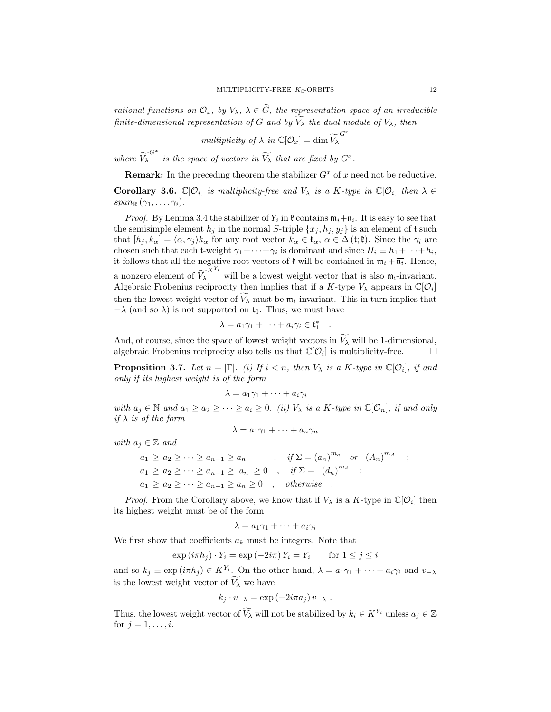rational functions on  $\mathcal{O}_x$ , by  $V_\lambda$ ,  $\lambda \in \widehat{G}$ , the representation space of an irreducible finite-dimensional representation of G and by  $\widetilde{V}_{\lambda}$  the dual module of  $V_{\lambda}$ , then

multiplicity of 
$$
\lambda
$$
 in  $\mathbb{C}[\mathcal{O}_x] = \dim \widetilde{V_{\lambda}}^{G^x}$ 

where  $\widetilde{V}_{\lambda}^{G^x}$  is the space of vectors in  $\widetilde{V}_{\lambda}$  that are fixed by  $G^x$ .

**Remark:** In the preceding theorem the stabilizer  $G^x$  of x need not be reductive.

**Corollary 3.6.**  $\mathbb{C}[\mathcal{O}_i]$  is multiplicity-free and  $V_\lambda$  is a K-type in  $\mathbb{C}[\mathcal{O}_i]$  then  $\lambda \in$  $span_{\mathbb{R}}(\gamma_1,\ldots,\gamma_i).$ 

*Proof.* By Lemma 3.4 the stabilizer of  $Y_i$  in  $\mathfrak{k}$  contains  $\mathfrak{m}_i + \overline{\mathfrak{n}}_i$ . It is easy to see that the semisimple element  $h_j$  in the normal S-triple  $\{x_j, h_j, y_j\}$  is an element of t such that  $[h_j, k_\alpha] = \langle \alpha, \gamma_j \rangle k_\alpha$  for any root vector  $k_\alpha \in \mathfrak{k}_\alpha, \alpha \in \Delta(\mathfrak{t}; \mathfrak{k})$ . Since the  $\gamma_i$  are chosen such that each t-weight  $\gamma_1 + \cdots + \gamma_i$  is dominant and since  $H_i \equiv h_1 + \cdots + h_i$ , it follows that all the negative root vectors of  $\mathfrak{k}$  will be contained in  $\mathfrak{m}_i + \overline{\mathfrak{n}_i}$ . Hence, a nonzero element of  $\widetilde{V_{\lambda}}^{K^{Y_i}}$  will be a lowest weight vector that is also  $\mathfrak{m}_i$ -invariant. Algebraic Frobenius reciprocity then implies that if a K-type  $V_{\lambda}$  appears in  $\mathbb{C}[O_i]$ then the lowest weight vector of  $V_{\lambda}$  must be  $m_i$ -invariant. This in turn implies that  $-\lambda$  (and so  $\lambda$ ) is not supported on  $t_0$ . Thus, we must have

$$
\lambda = a_1 \gamma_1 + \dots + a_i \gamma_i \in \mathfrak{t}_1^*
$$

.

And, of course, since the space of lowest weight vectors in  $\widetilde{V_{\lambda}}$  will be 1-dimensional, algebraic Frobenius reciprocity also tells us that  $\mathbb{C}[\mathcal{O}_i]$  is multiplicity-free.  $\Box$ 

**Proposition 3.7.** Let  $n = |\Gamma|$ . (i) If  $i < n$ , then  $V_{\lambda}$  is a K-type in  $\mathbb{C}[\mathcal{O}_i]$ , if and only if its highest weight is of the form

$$
\lambda = a_1 \gamma_1 + \dots + a_i \gamma_i
$$

with  $a_j \in \mathbb{N}$  and  $a_1 \ge a_2 \ge \cdots \ge a_i \ge 0$ . (ii)  $V_\lambda$  is a K-type in  $\mathbb{C}[O_n]$ , if and only if  $\lambda$  is of the form

$$
\lambda = a_1 \gamma_1 + \dots + a_n \gamma_n
$$

with  $a_j \in \mathbb{Z}$  and

$$
a_1 \ge a_2 \ge \cdots \ge a_{n-1} \ge a_n, \quad \text{if } \Sigma = (a_n)^{m_a} \quad \text{or} \quad (A_n)^{m_A} \quad ;
$$
  
\n
$$
a_1 \ge a_2 \ge \cdots \ge a_{n-1} \ge |a_n| \ge 0, \quad \text{if } \Sigma = (d_n)^{m_d} \quad ;
$$
  
\n
$$
a_1 \ge a_2 \ge \cdots \ge a_{n-1} \ge a_n \ge 0, \quad \text{otherwise} .
$$

*Proof.* From the Corollary above, we know that if  $V_{\lambda}$  is a K-type in  $\mathbb{C}[\mathcal{O}_i]$  then its highest weight must be of the form

$$
\lambda = a_1 \gamma_1 + \dots + a_i \gamma_i
$$

We first show that coefficients  $a_k$  must be integers. Note that

$$
\exp(i\pi h_j) \cdot Y_i = \exp(-2i\pi) Y_i = Y_i \quad \text{for } 1 \le j \le i
$$

and so  $k_j \equiv \exp(i\pi h_j) \in K^{Y_i}$ . On the other hand,  $\lambda = a_1\gamma_1 + \cdots + a_i\gamma_i$  and  $v_{-\lambda}$ is the lowest weight vector of  $\widetilde{V}_{\lambda}$  we have

$$
k_j \cdot v_{-\lambda} = \exp(-2i\pi a_j) v_{-\lambda} .
$$

Thus, the lowest weight vector of  $\widetilde{V}_{\lambda}$  will not be stabilized by  $k_i \in K^{Y_i}$  unless  $a_j \in \mathbb{Z}$ for  $j = 1, ..., i$ .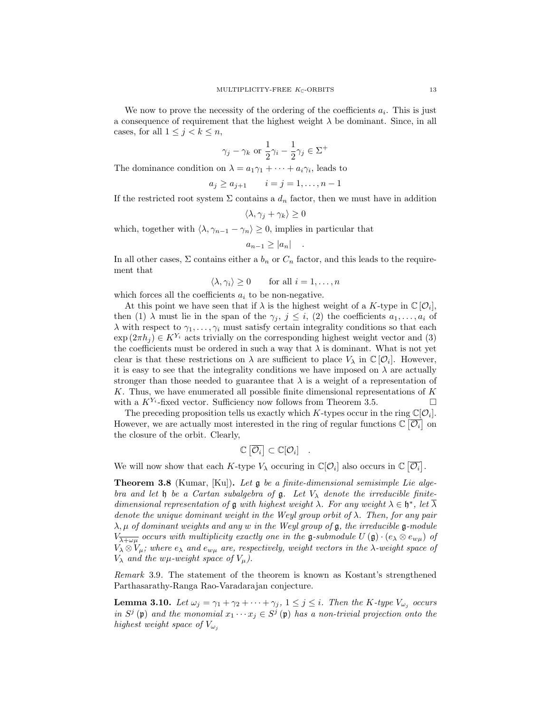$$
\gamma_j - \gamma_k
$$
 or  $\frac{1}{2}\gamma_i - \frac{1}{2}\gamma_j \in \Sigma^+$ 

The dominance condition on  $\lambda = a_1 \gamma_1 + \cdots + a_i \gamma_i$ , leads to

$$
a_j \ge a_{j+1}
$$
  $i = j = 1, ..., n-1$ 

If the restricted root system  $\Sigma$  contains a  $d_n$  factor, then we must have in addition

$$
\langle \lambda, \gamma_j + \gamma_k \rangle \ge 0
$$

which, together with  $\langle \lambda, \gamma_{n-1} - \gamma_n \rangle \geq 0$ , implies in particular that

$$
a_{n-1} \ge |a_n| \quad .
$$

In all other cases,  $\Sigma$  contains either a  $b_n$  or  $C_n$  factor, and this leads to the requirement that

$$
\langle \lambda, \gamma_i \rangle \ge 0 \quad \text{for all } i = 1, \dots, n
$$

which forces all the coefficients  $a_i$  to be non-negative.

At this point we have seen that if  $\lambda$  is the highest weight of a K-type in  $\mathbb{C}[\mathcal{O}_i]$ , then (1)  $\lambda$  must lie in the span of the  $\gamma_j$ ,  $j \leq i$ , (2) the coefficients  $a_1, \ldots, a_i$  of  $\lambda$  with respect to  $\gamma_1, \ldots, \gamma_i$  must satisfy certain integrality conditions so that each  $\exp(2\pi h_i) \in K^{Y_i}$  acts trivially on the corresponding highest weight vector and (3) the coefficients must be ordered in such a way that  $\lambda$  is dominant. What is not yet clear is that these restrictions on  $\lambda$  are sufficient to place  $V_{\lambda}$  in  $\mathbb{C}[\mathcal{O}_i]$ . However, it is easy to see that the integrality conditions we have imposed on  $\lambda$  are actually stronger than those needed to guarantee that  $\lambda$  is a weight of a representation of K. Thus, we have enumerated all possible finite dimensional representations of  $K$ with a  $K^{Y_i}$ -fixed vector. Sufficiency now follows from Theorem 3.5.

The preceding proposition tells us exactly which K-types occur in the ring  $\mathbb{C}[\mathcal{O}_i]$ . However, we are actually most interested in the ring of regular functions  $\mathbb{C}[\overline{\mathcal{O}_i}]$  on the closure of the orbit. Clearly,

$$
\mathbb{C}\left[\overline{\mathcal{O}_i}\right] \subset \mathbb{C}[\mathcal{O}_i] \quad .
$$

We will now show that each K-type  $V_{\lambda}$  occuring in  $\mathbb{C}[\mathcal{O}_i]$  also occurs in  $\mathbb{C}[\overline{\mathcal{O}_i}]$ .

**Theorem 3.8** (Kumar, [Ku]). Let  $\mathfrak{g}$  be a finite-dimensional semisimple Lie algebra and let  $\mathfrak h$  be a Cartan subalgebra of  $\mathfrak g$ . Let  $V_\lambda$  denote the irreducible finitedimensional representation of **g** with highest weight  $\lambda$ . For any weight  $\lambda \in \mathfrak{h}^*$ , let  $\overline{\lambda}$ denote the unique dominant weight in the Weyl group orbit of  $\lambda$ . Then, for any pair  $\lambda, \mu$  of dominant weights and any w in the Weyl group of g, the irreducible g-module  $V_{\overline{\lambda+\omega\mu}}$  occurs with multiplicity exactly one in the g-submodule  $U(\mathfrak{g}) \cdot (e_{\lambda} \otimes e_{w\mu})$  of  $V_{\lambda} \otimes V_{\mu}$ ; where  $e_{\lambda}$  and  $e_{w\mu}$  are, respectively, weight vectors in the  $\lambda$ -weight space of  $V_{\lambda}$  and the w $\mu$ -weight space of  $V_{\mu}$ ).

Remark 3.9. The statement of the theorem is known as Kostant's strengthened Parthasarathy-Ranga Rao-Varadarajan conjecture.

**Lemma 3.10.** Let  $\omega_j = \gamma_1 + \gamma_2 + \cdots + \gamma_j$ ,  $1 \leq j \leq i$ . Then the K-type  $V_{\omega_j}$  occurs in  $S^j$  (p) and the monomial  $x_1 \cdots x_j \in S^j$  (p) has a non-trivial projection onto the highest weight space of  $V_{\omega_i}$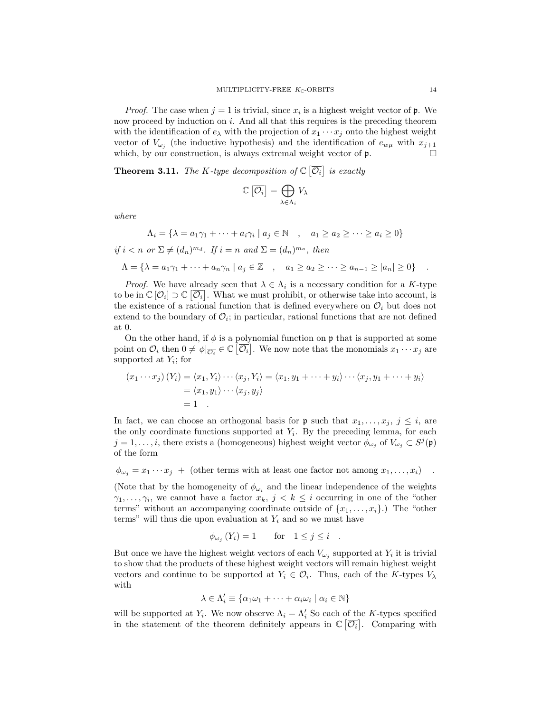*Proof.* The case when  $j = 1$  is trivial, since  $x_i$  is a highest weight vector of  $\mathfrak{p}$ . We now proceed by induction on i. And all that this requires is the preceding theorem with the identification of  $e_{\lambda}$  with the projection of  $x_1 \cdots x_j$  onto the highest weight vector of  $V_{\omega_j}$  (the inductive hypothesis) and the identification of  $e_{w\mu}$  with  $x_{j+1}$ which, by our construction, is always extremal weight vector of  $\mathfrak{p}$ .

**Theorem 3.11.** The K-type decomposition of  $\mathbb{C}[\overline{\mathcal{O}_i}]$  is exactly

$$
\mathbb{C}\left[\overline{\mathcal{O}_i}\right] = \bigoplus_{\lambda \in \Lambda_i} V_{\lambda}
$$

where

$$
\Lambda_i = \{ \lambda = a_1 \gamma_1 + \dots + a_i \gamma_i \mid a_j \in \mathbb{N} \quad , \quad a_1 \ge a_2 \ge \dots \ge a_i \ge 0 \}
$$
  
if  $i < n$  or  $\Sigma \ne (d_n)^{m_d}$ . If  $i = n$  and  $\Sigma = (d_n)^{m_a}$ , then  

$$
\Lambda = \{ \lambda = a_1 \gamma_1 + \dots + a_n \gamma_n \mid a_j \in \mathbb{Z} \quad , \quad a_1 \ge a_2 \ge \dots \ge a_{n-1} \ge |a_n| \ge 0 \}
$$
.

*Proof.* We have already seen that  $\lambda \in \Lambda_i$  is a necessary condition for a K-type to be in  $\mathbb{C}[\mathcal{O}_i] \supset \mathbb{C}[\overline{\mathcal{O}_i}]$ . What we must prohibit, or otherwise take into account, is the existence of a rational function that is defined everywhere on  $\mathcal{O}_i$  but does not extend to the boundary of  $\mathcal{O}_i$ ; in particular, rational functions that are not defined at 0.

On the other hand, if  $\phi$  is a polynomial function on **p** that is supported at some point on  $\mathcal{O}_i$  then  $0 \neq \phi|_{\overline{\mathcal{O}_i}} \in \mathbb{C}$   $\overline{[\mathcal{O}_i]}$ . We now note that the monomials  $x_1 \cdots x_j$  are supported at  $Y_i$ ; for

$$
(x_1 \cdots x_j) (Y_i) = \langle x_1, Y_i \rangle \cdots \langle x_j, Y_i \rangle = \langle x_1, y_1 + \cdots + y_i \rangle \cdots \langle x_j, y_1 + \cdots + y_i \rangle
$$
  
=  $\langle x_1, y_1 \rangle \cdots \langle x_j, y_j \rangle$   
= 1

In fact, we can choose an orthogonal basis for  $\mathfrak p$  such that  $x_1, \ldots, x_j, j \leq i$ , are the only coordinate functions supported at  $Y_i$ . By the preceding lemma, for each  $j = 1, \ldots, i$ , there exists a (homogeneous) highest weight vector  $\phi_{\omega_j}$  of  $V_{\omega_j} \subset S^j(\mathfrak{p})$ of the form

 $\phi_{\omega_i} = x_1 \cdots x_i + (\text{other terms with at least one factor not among } x_1, \ldots, x_i)$ .

(Note that by the homogeneity of  $\phi_{\omega_i}$  and the linear independence of the weights  $\gamma_1, \ldots, \gamma_i$ , we cannot have a factor  $x_k, j \leq k \leq i$  occurring in one of the "other" terms" without an accompanying coordinate outside of  $\{x_1, \ldots, x_i\}$ .) The "other terms" will thus die upon evaluation at  $Y_i$  and so we must have

$$
\phi_{\omega_j}(Y_i) = 1 \quad \text{for} \quad 1 \le j \le i \quad .
$$

But once we have the highest weight vectors of each  $V_{\omega_j}$  supported at  $Y_i$  it is trivial to show that the products of these highest weight vectors will remain highest weight vectors and continue to be supported at  $Y_i \in \mathcal{O}_i$ . Thus, each of the K-types  $V_\lambda$ with

$$
\lambda \in \Lambda_i' \equiv \{ \alpha_1 \omega_1 + \dots + \alpha_i \omega_i \mid \alpha_i \in \mathbb{N} \}
$$

will be supported at  $Y_i$ . We now observe  $\Lambda_i = \Lambda'_i$  So each of the K-types specified in the statement of the theorem definitely appears in  $\mathbb{C}[\overline{\mathcal{O}_i}]$ . Comparing with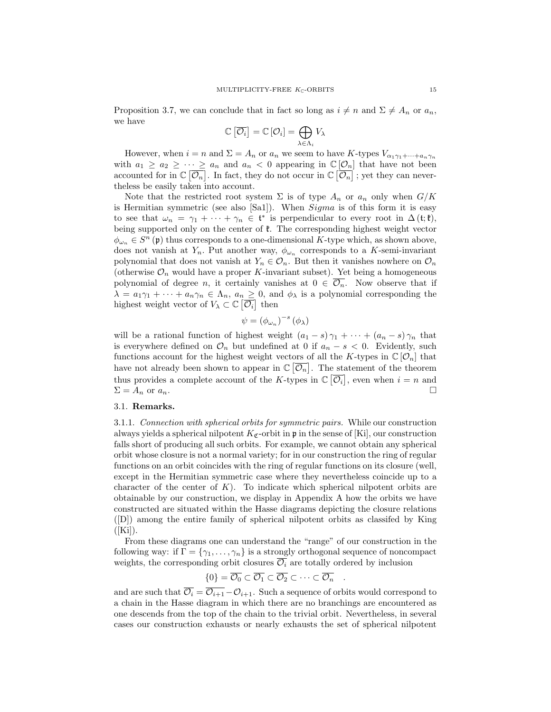Proposition 3.7, we can conclude that in fact so long as  $i \neq n$  and  $\Sigma \neq A_n$  or  $a_n$ , we have

$$
\mathbb{C}\left[\overline{\mathcal{O}_i}\right] = \mathbb{C}\left[\mathcal{O}_i\right] = \bigoplus_{\lambda \in \Lambda_i} V_{\lambda}
$$

However, when  $i = n$  and  $\Sigma = A_n$  or  $a_n$  we seem to have K-types  $V_{\alpha_1 \gamma_1 + \cdots + \alpha_n \gamma_n}$ with  $a_1 \ge a_2 \ge \cdots \ge a_n$  and  $a_n < 0$  appearing in  $\mathbb{C}[\mathcal{O}_n]$  that have not been accounted for in  $\mathbb{C}[\overline{\mathcal{O}_n}]$ . In fact, they do not occur in  $\mathbb{C}[\overline{\mathcal{O}_n}]$ ; yet they can nevertheless be easily taken into account.

Note that the restricted root system  $\Sigma$  is of type  $A_n$  or  $a_n$  only when  $G/K$ is Hermitian symmetric (see also [Sa1]). When Sigma is of this form it is easy to see that  $\omega_n = \gamma_1 + \cdots + \gamma_n \in \mathfrak{t}^*$  is perpendicular to every root in  $\Delta(\mathfrak{t}; \mathfrak{k})$ , being supported only on the center of  $\mathfrak{k}$ . The corresponding highest weight vector  $\phi_{\omega_n} \in S^n$  (p) thus corresponds to a one-dimensional K-type which, as shown above, does not vanish at  $Y_n$ . Put another way,  $\phi_{\omega_n}$  corresponds to a K-semi-invariant polynomial that does not vanish at  $Y_n \in \mathcal{O}_n$ . But then it vanishes nowhere on  $\mathcal{O}_n$ (otherwise  $\mathcal{O}_n$  would have a proper K-invariant subset). Yet being a homogeneous polynomial of degree n, it certainly vanishes at  $0 \in \overline{\mathcal{O}_n}$ . Now observe that if  $\lambda = a_1 \gamma_1 + \cdots + a_n \gamma_n \in \Lambda_n$ ,  $a_n \geq 0$ , and  $\phi_\lambda$  is a polynomial corresponding the highest weight vector of  $V_{\lambda} \subset \mathbb{C} \left[ \overline{\mathcal{O}_{i}} \right]$  then

$$
\psi = (\phi_{\omega_n})^{-s} (\phi_{\lambda})
$$

will be a rational function of highest weight  $(a_1 - s)\gamma_1 + \cdots + (a_n - s)\gamma_n$  that is everywhere defined on  $\mathcal{O}_n$  but undefined at 0 if  $a_n - s < 0$ . Evidently, such functions account for the highest weight vectors of all the K-types in  $\mathbb{C}[\mathcal{O}_n]$  that have not already been shown to appear in  $\mathbb{C}[\overline{\mathcal{O}_n}]$ . The statement of the theorem thus provides a complete account of the K-types in  $\mathbb{C}[\overline{\mathcal{O}_i}]$ , even when  $i = n$  and  $\Sigma = A_n$  or  $a_n$ .

## 3.1. Remarks.

3.1.1. Connection with spherical orbits for symmetric pairs. While our construction always yields a spherical nilpotent  $K_{\mathfrak{C}}$ -orbit in p in the sense of [Ki], our construction falls short of producing all such orbits. For example, we cannot obtain any spherical orbit whose closure is not a normal variety; for in our construction the ring of regular functions on an orbit coincides with the ring of regular functions on its closure (well, except in the Hermitian symmetric case where they nevertheless coincide up to a character of the center of  $K$ ). To indicate which spherical nilpotent orbits are obtainable by our construction, we display in Appendix A how the orbits we have constructed are situated within the Hasse diagrams depicting the closure relations ([D]) among the entire family of spherical nilpotent orbits as classifed by King  $([Ki])$ .

From these diagrams one can understand the "range" of our construction in the following way: if  $\Gamma = \{\gamma_1, \ldots, \gamma_n\}$  is a strongly orthogonal sequence of noncompact weights, the corresponding orbit closures  $\overline{\mathcal{O}_i}$  are totally ordered by inclusion

$$
\{0\} = \overline{\mathcal{O}_0} \subset \overline{\mathcal{O}_1} \subset \overline{\mathcal{O}_2} \subset \cdots \subset \overline{\mathcal{O}_n} .
$$

and are such that  $\overline{\mathcal{O}_i} = \overline{\mathcal{O}_{i+1}} - \mathcal{O}_{i+1}$ . Such a sequence of orbits would correspond to a chain in the Hasse diagram in which there are no branchings are encountered as one descends from the top of the chain to the trivial orbit. Nevertheless, in several cases our construction exhausts or nearly exhausts the set of spherical nilpotent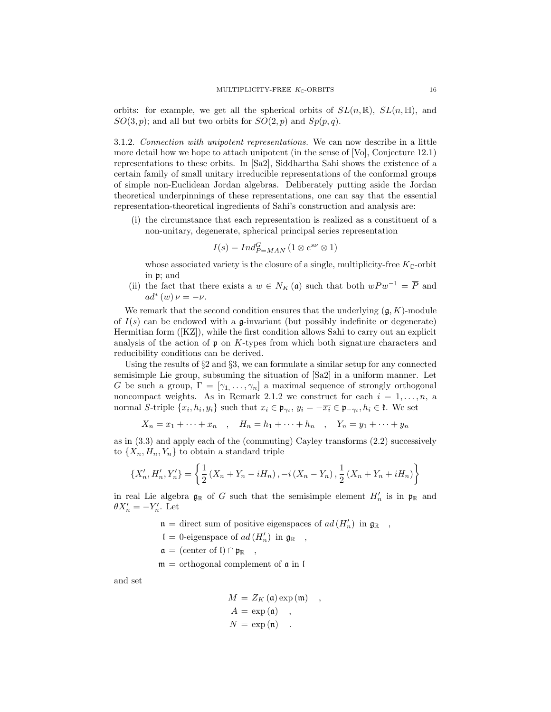orbits: for example, we get all the spherical orbits of  $SL(n,\mathbb{R})$ ,  $SL(n,\mathbb{H})$ , and  $SO(3, p)$ ; and all but two orbits for  $SO(2, p)$  and  $Sp(p, q)$ .

3.1.2. Connection with unipotent representations. We can now describe in a little more detail how we hope to attach unipotent (in the sense of [Vo], Conjecture 12.1) representations to these orbits. In [Sa2], Siddhartha Sahi shows the existence of a certain family of small unitary irreducible representations of the conformal groups of simple non-Euclidean Jordan algebras. Deliberately putting aside the Jordan theoretical underpinnings of these representations, one can say that the essential representation-theoretical ingredients of Sahi's construction and analysis are:

(i) the circumstance that each representation is realized as a constituent of a non-unitary, degenerate, spherical principal series representation

$$
I(s) = Ind_{P=MAN}^{G} (1 \otimes e^{s\nu} \otimes 1)
$$

whose associated variety is the closure of a single, multiplicity-free  $K_{\mathbb{C}}$ -orbit in p; and

(ii) the fact that there exists a  $w \in N_K(\mathfrak{a})$  such that both  $wPw^{-1} = \overline{P}$  and  $ad^*(w)\nu = -\nu.$ 

We remark that the second condition ensures that the underlying  $(g, K)$ -module of  $I(s)$  can be endowed with a g-invariant (but possibly indefinite or degenerate) Hermitian form ([KZ]), while the first condition allows Sahi to carry out an explicit analysis of the action of  $\mathfrak p$  on K-types from which both signature characters and reducibility conditions can be derived.

Using the results of  $\S 2$  and  $\S 3$ , we can formulate a similar setup for any connected semisimple Lie group, subsuming the situation of [Sa2] in a uniform manner. Let G be such a group,  $\Gamma = [\gamma_1, \ldots, \gamma_n]$  a maximal sequence of strongly orthogonal noncompact weights. As in Remark 2.1.2 we construct for each  $i = 1, \ldots, n$ , a normal S-triple  $\{x_i, h_i, y_i\}$  such that  $x_i \in \mathfrak{p}_{\gamma_i}, y_i = -\overline{x_i} \in \mathfrak{p}_{-\gamma_i}, h_i \in \mathfrak{k}$ . We set

$$
X_n = x_1 + \dots + x_n
$$
,  $H_n = h_1 + \dots + h_n$ ,  $Y_n = y_1 + \dots + y_n$ 

as in (3.3) and apply each of the (commuting) Cayley transforms (2.2) successively to  $\{X_n, H_n, Y_n\}$  to obtain a standard triple

$$
\{X'_{n}, H'_{n}, Y'_{n}\} = \left\{\frac{1}{2}\left(X_{n} + Y_{n} - iH_{n}\right), -i\left(X_{n} - Y_{n}\right), \frac{1}{2}\left(X_{n} + Y_{n} + iH_{n}\right)\right\}
$$

in real Lie algebra  $\mathfrak{g}_{\mathbb{R}}$  of G such that the semisimple element  $H'_n$  is in  $\mathfrak{p}_{\mathbb{R}}$  and  $\theta X'_n = -Y'_n$ . Let

 $\mathfrak{n} =$  direct sum of positive eigenspaces of  $ad(H'_n)$  in  $\mathfrak{g}_{\mathbb{R}}$ ,

 $\mathfrak{l} = 0$ -eigenspace of  $ad(H'_n)$  in  $\mathfrak{g}_{\mathbb{R}}$ ,

 $a =$  (center of l)  $\cap \mathfrak{p}_{\mathbb{R}}$ ,

 $m =$  orthogonal complement of  $\alpha$  in I

and set

$$
M = Z_K (\mathfrak{a}) \exp(\mathfrak{m}) ,
$$
  
\n
$$
A = \exp(\mathfrak{a}) ,
$$
  
\n
$$
N = \exp(\mathfrak{n}) .
$$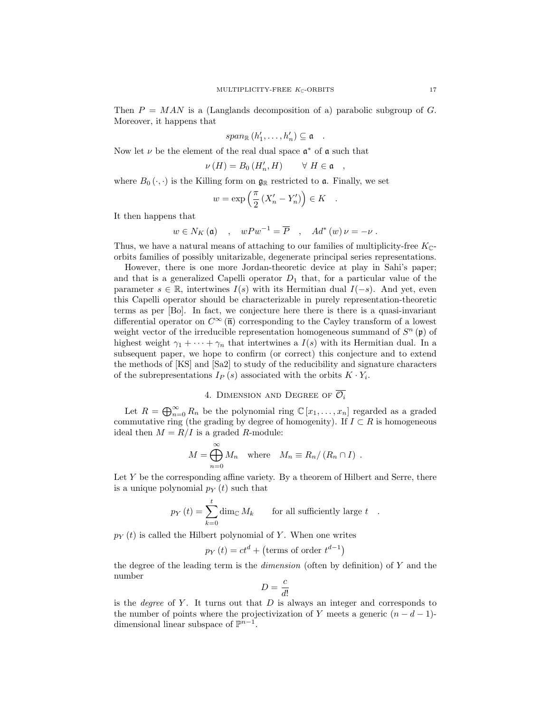Then  $P = MAN$  is a (Langlands decomposition of a) parabolic subgroup of G. Moreover, it happens that

$$
span_{\mathbb{R}}(h'_1,\ldots,h'_n)\subseteq \mathfrak{a}.
$$

Now let  $\nu$  be the element of the real dual space  $\mathfrak{a}^*$  of  $\mathfrak{a}$  such that

$$
\nu(H) = B_0(H'_n, H) \qquad \forall H \in \mathfrak{a} \quad ,
$$

where  $B_0(\cdot, \cdot)$  is the Killing form on  $\mathfrak{g}_{\mathbb{R}}$  restricted to a. Finally, we set

$$
w = \exp\left(\frac{\pi}{2} \left(X_n' - Y_n'\right)\right) \in K \quad .
$$

It then happens that

$$
w \in N_K(\mathfrak{a})
$$
,  $wPw^{-1} = \overline{P}$ ,  $Ad^*(w)\nu = -\nu$ .

Thus, we have a natural means of attaching to our families of multiplicity-free  $K_{\mathbb{C}}$ orbits families of possibly unitarizable, degenerate principal series representations.

However, there is one more Jordan-theoretic device at play in Sahi's paper; and that is a generalized Capelli operator  $D_1$  that, for a particular value of the parameter  $s \in \mathbb{R}$ , intertwines  $I(s)$  with its Hermitian dual  $I(-s)$ . And yet, even this Capelli operator should be characterizable in purely representation-theoretic terms as per [Bo]. In fact, we conjecture here there is there is a quasi-invariant differential operator on  $C^{\infty}(\overline{n})$  corresponding to the Cayley transform of a lowest weight vector of the irreducible representation homogeneous summand of  $S<sup>n</sup>(\mathfrak{p})$  of highest weight  $\gamma_1 + \cdots + \gamma_n$  that intertwines a  $I(s)$  with its Hermitian dual. In a subsequent paper, we hope to confirm (or correct) this conjecture and to extend the methods of [KS] and [Sa2] to study of the reducibility and signature characters of the subrepresentations  $I_P(s)$  associated with the orbits  $K \cdot Y_i$ .

## 4. DIMENSION AND DEGREE OF  $\overline{\mathcal{O}_i}$

Let  $R = \bigoplus_{n=0}^{\infty} R_n$  be the polynomial ring  $\mathbb{C} [x_1, \ldots, x_n]$  regarded as a graded commutative ring (the grading by degree of homogenity). If  $I \subset R$  is homogeneous ideal then  $M = R/I$  is a graded R-module:

$$
M = \bigoplus_{n=0}^{\infty} M_n \quad \text{where} \quad M_n \equiv R_n / (R_n \cap I) \ .
$$

Let  $Y$  be the corresponding affine variety. By a theorem of Hilbert and Serre, there is a unique polynomial  $p_Y(t)$  such that

$$
p_Y(t) = \sum_{k=0}^{t} \dim_{\mathbb{C}} M_k \quad \text{for all sufficiently large } t.
$$

 $p_Y(t)$  is called the Hilbert polynomial of Y. When one writes

 $\sim$ 

$$
p_Y(t) = ct^d + \text{(terms of order } t^{d-1}\text{)}
$$

the degree of the leading term is the *dimension* (often by definition) of  $Y$  and the number

$$
D = \frac{c}{d!}
$$

is the *degree* of  $Y$ . It turns out that  $D$  is always an integer and corresponds to the number of points where the projectivization of Y meets a generic  $(n - d - 1)$ dimensional linear subspace of  $\mathbb{P}^{n-1}$ .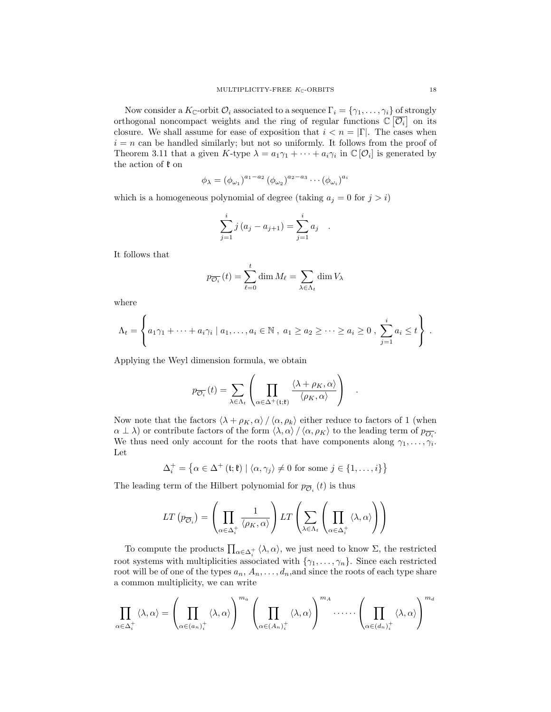Now consider a  $K_{\mathbb{C}}$ -orbit  $\mathcal{O}_i$  associated to a sequence  $\Gamma_i = \{\gamma_1, \ldots, \gamma_i\}$  of strongly orthogonal noncompact weights and the ring of regular functions  $\mathbb{C}[\overline{\mathcal{O}_i}]$  on its closure. We shall assume for ease of exposition that  $i < n = |\Gamma|$ . The cases when  $i = n$  can be handled similarly; but not so uniformly. It follows from the proof of Theorem 3.11 that a given  $K$ -type  $\lambda = a_1 \gamma_1 + \cdots + a_i \gamma_i$  in  $\mathbb{C}[\mathcal{O}_i]$  is generated by the action of  $\mathfrak k$  on

$$
\phi_{\lambda} = (\phi_{\omega_1})^{a_1 - a_2} (\phi_{\omega_2})^{a_2 - a_3} \cdots (\phi_{\omega_i})^{a_i}
$$

which is a homogeneous polynomial of degree (taking  $a_i = 0$  for  $j > i$ )

$$
\sum_{j=1}^{i} j (a_j - a_{j+1}) = \sum_{j=1}^{i} a_j .
$$

It follows that

$$
p_{\overline{\mathcal{O}_i}}(t) = \sum_{\ell=0}^t \dim M_\ell = \sum_{\lambda \in \Lambda_t} \dim V_\lambda
$$

where

$$
\Lambda_t = \left\{ a_1 \gamma_1 + \dots + a_i \gamma_i \mid a_1, \dots, a_i \in \mathbb{N}, a_1 \geq a_2 \geq \dots \geq a_i \geq 0, \sum_{j=1}^i a_j \leq t \right\}.
$$

Applying the Weyl dimension formula, we obtain

$$
p_{\overline{\mathcal{O}_i}}(t) = \sum_{\lambda \in \Lambda_t} \left( \prod_{\alpha \in \Delta^+(\mathfrak{t}; \mathfrak{k})} \frac{\langle \lambda + \rho_K, \alpha \rangle}{\langle \rho_K, \alpha \rangle} \right) .
$$

Now note that the factors  $\langle \lambda + \rho_K, \alpha \rangle / \langle \alpha, \rho_k \rangle$  either reduce to factors of 1 (when  $\alpha \perp \lambda$ ) or contribute factors of the form  $\langle \lambda, \alpha \rangle / \langle \alpha, \rho_K \rangle$  to the leading term of  $p_{\overline{O_i}}$ . We thus need only account for the roots that have components along  $\gamma_1, \ldots, \gamma_i$ . Let

$$
\Delta_i^+ = \left\{ \alpha \in \Delta^+ \left( \mathfrak{t}; \mathfrak{k} \right) \mid \langle \alpha, \gamma_j \rangle \neq 0 \text{ for some } j \in \{1, \dots, i\} \right\}
$$

The leading term of the Hilbert polynomial for  $p_{\overline{O}_i}(t)$  is thus

$$
LT(p_{\overline{\mathcal{O}}_i}) = \left(\prod_{\alpha \in \Delta_i^+} \frac{1}{\langle \rho_K, \alpha \rangle}\right)LT\left(\sum_{\lambda \in \Lambda_t} \left(\prod_{\alpha \in \Delta_i^+} \langle \lambda, \alpha \rangle\right)\right)
$$

To compute the products  $\prod_{\alpha \in \Delta_i^+} \langle \lambda, \alpha \rangle$ , we just need to know  $\Sigma$ , the restricted root systems with multiplicities associated with  $\{\gamma_1, \ldots, \gamma_n\}$ . Since each restricted root will be of one of the types  $a_n, A_n, \ldots, d_n$ , and since the roots of each type share a common multiplicity, we can write

$$
\prod_{\alpha\in\Delta_i^+}\langle \lambda,\alpha\rangle=\left(\prod_{\alpha\in(a_n)_i^+}\langle \lambda,\alpha\rangle\right)^{m_a}\left(\prod_{\alpha\in(A_n)_i^+}\langle \lambda,\alpha\rangle\right)^{m_A}\cdot\cdots\cdot\left(\prod_{\alpha\in(a_n)_i^+}\langle \lambda,\alpha\rangle\right)^{m_d}
$$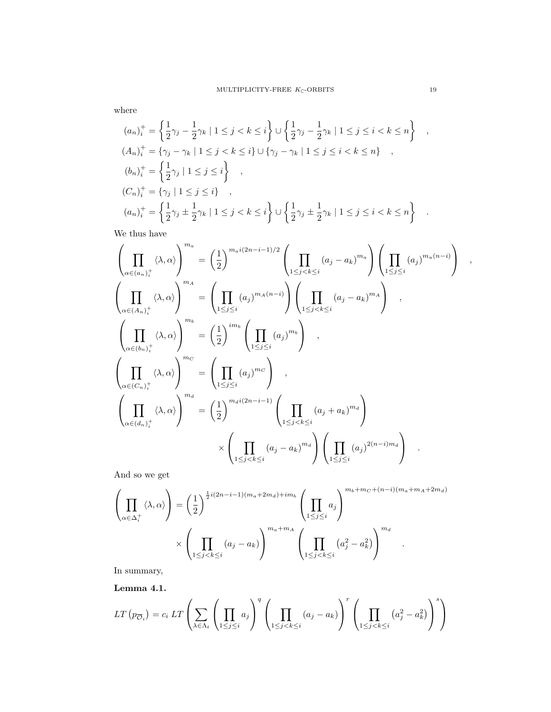where

$$
(a_n)_i^+ = \left\{ \frac{1}{2}\gamma_j - \frac{1}{2}\gamma_k \mid 1 \le j < k \le i \right\} \cup \left\{ \frac{1}{2}\gamma_j - \frac{1}{2}\gamma_k \mid 1 \le j \le i < k \le n \right\} ,
$$
\n
$$
(A_n)_i^+ = \left\{ \gamma_j - \gamma_k \mid 1 \le j < k \le i \right\} \cup \left\{ \gamma_j - \gamma_k \mid 1 \le j \le i < k \le n \right\} ,
$$
\n
$$
(b_n)_i^+ = \left\{ \frac{1}{2}\gamma_j \mid 1 \le j \le i \right\} ,
$$
\n
$$
(C_n)_i^+ = \left\{ \gamma_j \mid 1 \le j \le i \right\} ,
$$
\n
$$
(a_n)_i^+ = \left\{ \frac{1}{2}\gamma_j \pm \frac{1}{2}\gamma_k \mid 1 \le j < k \le i \right\} \cup \left\{ \frac{1}{2}\gamma_j \pm \frac{1}{2}\gamma_k \mid 1 \le j \le i < k \le n \right\} .
$$

We thus have

$$
\left(\prod_{\alpha\in(a_n)_i^+} \langle \lambda, \alpha \rangle \right)^{m_a} = \left(\frac{1}{2}\right)^{m_a i(2n-i-1)/2} \left(\prod_{1 \leq j < k \leq i} (a_j - a_k)^{m_a}\right) \left(\prod_{1 \leq j \leq i} (a_j)^{m_a(n-i)}\right) ,
$$
\n
$$
\left(\prod_{\alpha\in(A_n)_i^+} \langle \lambda, \alpha \rangle \right)^{m_A} = \left(\prod_{1 \leq j \leq i} (a_j)^{m_A(n-i)}\right) \left(\prod_{1 \leq j < k \leq i} (a_j - a_k)^{m_A}\right) ,
$$
\n
$$
\left(\prod_{\alpha\in(b_n)_i^+} \langle \lambda, \alpha \rangle \right)^{m_b} = \left(\frac{1}{2}\right)^{im_b} \left(\prod_{1 \leq j \leq i} (a_j)^{m_b}\right) ,
$$
\n
$$
\left(\prod_{\alpha\in(C_n)_i^+} \langle \lambda, \alpha \rangle \right)^{m_C} = \left(\prod_{1 \leq j \leq i} (a_j)^{m_C}\right) ,
$$
\n
$$
\left(\prod_{\alpha\in(d_n)_i^+} \langle \lambda, \alpha \rangle \right)^{m_d} = \left(\frac{1}{2}\right)^{m_d i(2n-i-1)} \left(\prod_{1 \leq j < k \leq i} (a_j + a_k)^{m_d}\right) ,
$$
\n
$$
\times \left(\prod_{1 \leq j < k \leq i} (a_j - a_k)^{m_d}\right) \left(\prod_{1 \leq j \leq i} (a_j)^{2(n-i)m_d}\right) .
$$

And so we get

$$
\left(\prod_{\alpha\in\Delta_i^+}\langle\lambda,\alpha\rangle\right) = \left(\frac{1}{2}\right)^{\frac{1}{2}i(2n-i-1)(m_a+2m_d)+im_b}\left(\prod_{1\leq j\leq i}a_j\right)^{m_b+m_c+(n-i)(m_a+m_A+2m_d)}
$$

$$
\times\left(\prod_{1\leq j
$$

In summary,

Lemma 4.1.

$$
LT(p_{\overline{Q}_i}) = c_i LT\left(\sum_{\lambda \in \Lambda_t} \left(\prod_{1 \leq j \leq i} a_j\right)^q \left(\prod_{1 \leq j < k \leq i} (a_j - a_k)\right)^r \left(\prod_{1 \leq j < k \leq i} (a_j^2 - a_k^2)\right)^s\right)
$$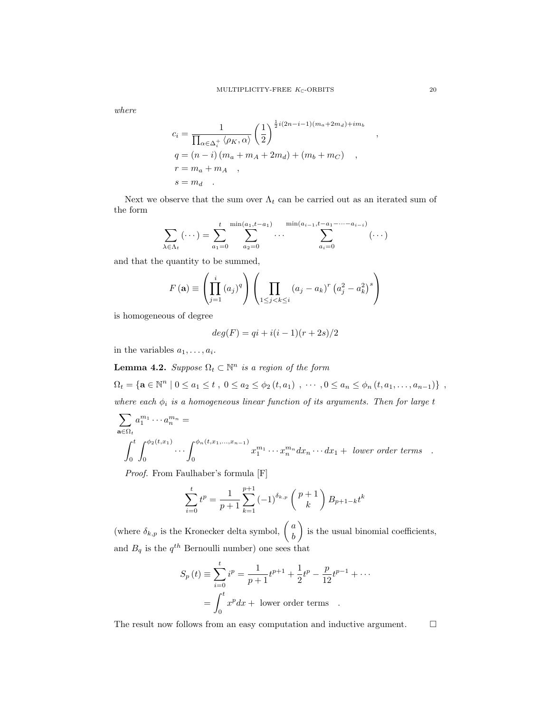where

$$
c_i = \frac{1}{\prod_{\alpha \in \Delta_i^+} \langle \rho_K, \alpha \rangle} \left(\frac{1}{2}\right)^{\frac{1}{2}i(2n-i-1)(m_a+2m_d)+im_b}
$$
  
\n
$$
q = (n-i)(m_a + m_A + 2m_d) + (m_b + m_C)
$$
  
\n
$$
r = m_a + m_A
$$
  
\n
$$
s = m_d
$$

Next we observe that the sum over  $\Lambda_t$  can be carried out as an iterated sum of the form

$$
\sum_{\lambda \in \Lambda_t} (\cdots) = \sum_{a_1=0}^t \sum_{a_2=0}^{\min(a_1, t-a_1)} \cdots \sum_{a_i=0}^{\min(a_{i-1}, t-a_1-\cdots-a_{i-i})} (\cdots)
$$

and that the quantity to be summed,

$$
F(\mathbf{a}) \equiv \left(\prod_{j=1}^{i} (a_j)^q\right) \left(\prod_{1 \leq j < k \leq i} (a_j - a_k)^r \left(a_j^2 - a_k^2\right)^s\right)
$$

is homogeneous of degree

$$
deg(F) = qi + i(i - 1)(r + 2s)/2
$$

in the variables  $a_1, \ldots, a_i$ .

**Lemma 4.2.** Suppose  $\Omega_t \subset \mathbb{N}^n$  is a region of the form  $\Omega_t = {\mathbf{a} \in \mathbb{N}^n \mid 0 \le a_1 \le t \ , \ 0 \le a_2 \le \phi_2(t, a_1) \ , \ \cdots \ , 0 \le a_n \le \phi_n(t, a_1, \ldots, a_{n-1})\} \ ,$ 

where each  $\phi_i$  is a homogeneous linear function of its arguments. Then for large t

$$
\sum_{\mathbf{a}\in\Omega_t} a_1^{m_1}\cdots a_n^{m_n} =
$$
\n
$$
\int_0^t \int_0^{\phi_2(t,x_1)} \cdots \int_0^{\phi_n(t,x_1,\ldots,x_{n-1})} x_1^{m_1}\cdots x_n^{m_n} dx_n \cdots dx_1 + \text{ lower order terms}.
$$

Proof. From Faulhaber's formula [F]

$$
\sum_{i=0}^{t} t^{p} = \frac{1}{p+1} \sum_{k=1}^{p+1} (-1)^{\delta_{k,p}} \binom{p+1}{k} B_{p+1-k} t^{k}
$$

(where  $\delta_{k,p}$  is the Kronecker delta symbol,  $\begin{pmatrix} a \\ b \end{pmatrix}$ b ) is the usual binomial coefficients, and  $B_q$  is the  $q^{th}$  Bernoulli number) one sees that

$$
S_p(t) \equiv \sum_{i=0}^{t} i^p = \frac{1}{p+1} t^{p+1} + \frac{1}{2} t^p - \frac{p}{12} t^{p-1} + \cdots
$$

$$
= \int_0^t x^p dx + \text{ lower order terms} .
$$

The result now follows from an easy computation and inductive argument.  $\Box$ 

,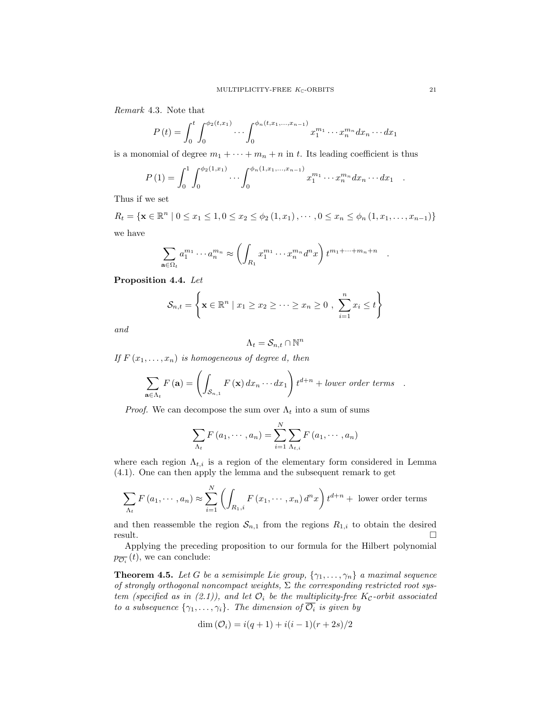Remark 4.3. Note that

$$
P(t) = \int_0^t \int_0^{\phi_2(t,x_1)} \cdots \int_0^{\phi_n(t,x_1,\ldots,x_{n-1})} x_1^{m_1} \cdots x_n^{m_n} dx_n \cdots dx_1
$$

is a monomial of degree  $m_1 + \cdots + m_n + n$  in t. Its leading coefficient is thus

$$
P(1) = \int_0^1 \int_0^{\phi_2(1,x_1)} \cdots \int_0^{\phi_n(1,x_1,\ldots,x_{n-1})} x_1^{m_1} \cdots x_n^{m_n} dx_n \cdots dx_1.
$$

Thus if we set

 $R_t = \{ \mathbf{x} \in \mathbb{R}^n \mid 0 \leq x_1 \leq 1, 0 \leq x_2 \leq \phi_2(1, x_1), \cdots, 0 \leq x_n \leq \phi_n(1, x_1, \ldots, x_{n-1}) \}$ we have

$$
\sum_{\mathbf{a}\in\Omega_t} a_1^{m_1}\cdots a_n^{m_n} \approx \left(\int_{R_1} x_1^{m_1}\cdots x_n^{m_n} d^n x\right) t^{m_1+\cdots+m_n+n}
$$

Proposition 4.4. Let

$$
\mathcal{S}_{n,t} = \left\{ \mathbf{x} \in \mathbb{R}^n \mid x_1 \geq x_2 \geq \cdots \geq x_n \geq 0 , \sum_{i=1}^n x_i \leq t \right\}
$$

and

$$
\Lambda_t = \mathcal{S}_{n,t} \cap \mathbb{N}^n
$$

If  $F(x_1, \ldots, x_n)$  is homogeneous of degree d, then

$$
\sum_{\mathbf{a}\in\Lambda_t} F(\mathbf{a}) = \left( \int_{\mathcal{S}_{n,1}} F(\mathbf{x}) dx_n \cdots dx_1 \right) t^{d+n} + lower\ order\ terms.
$$

*Proof.* We can decompose the sum over  $\Lambda_t$  into a sum of sums

$$
\sum_{\Lambda_t} F(a_1, \cdots, a_n) = \sum_{i=1}^N \sum_{\Lambda_{t,i}} F(a_1, \cdots, a_n)
$$

where each region  $\Lambda_{t,i}$  is a region of the elementary form considered in Lemma (4.1). One can then apply the lemma and the subsequent remark to get

$$
\sum_{\Lambda_t} F(a_1, \dots, a_n) \approx \sum_{i=1}^N \left( \int_{R_{1,i}} F(x_1, \dots, x_n) d^n x \right) t^{d+n} + \text{ lower order terms}
$$

and then reassemble the region  $S_{n,1}$  from the regions  $R_{1,i}$  to obtain the desired  $r$ esult.

Applying the preceding proposition to our formula for the Hilbert polynomial  $p_{\overline{\mathcal{O}_i}}(t)$ , we can conclude:

**Theorem 4.5.** Let G be a semisimple Lie group,  $\{\gamma_1, \ldots, \gamma_n\}$  a maximal sequence of strongly orthogonal noncompact weights,  $\Sigma$  the corresponding restricted root system (specified as in (2.1)), and let  $\mathcal{O}_i$  be the multiplicity-free K<sub>C</sub>-orbit associated to a subsequence  $\{\gamma_1, \ldots, \gamma_i\}$ . The dimension of  $\overline{\mathcal{O}_i}$  is given by

$$
\dim(\mathcal{O}_i) = i(q+1) + i(i-1)(r+2s)/2
$$

.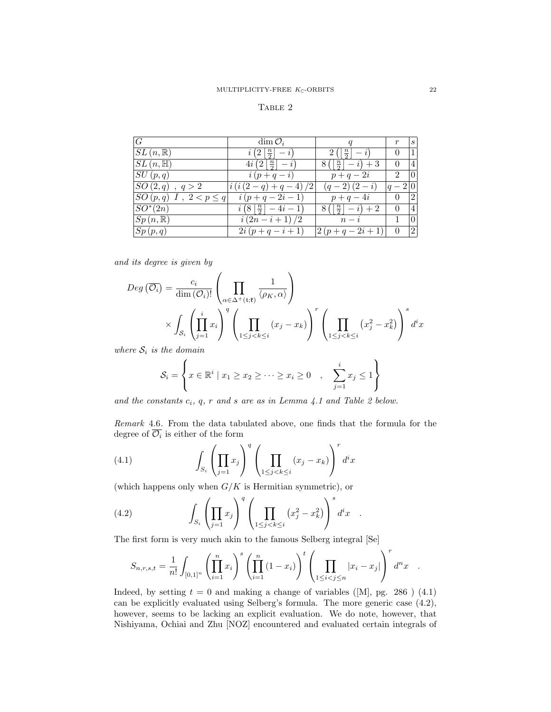#### TABLE 2

| G                           | $\dim \mathcal{O}_i$                           |                                          | r                | $\mathcal{S}_{\mathcal{S}}$ |
|-----------------------------|------------------------------------------------|------------------------------------------|------------------|-----------------------------|
| $SL(n,\mathbb{R})$          | $i(2 \frac{n}{2}  - i)$                        | $2\left(\left \frac{n}{2}\right \right)$ | $\Omega$         |                             |
| $SL(n, \mathbb{H})$         | $4i(2 \frac{n}{2}  -$                          | $8( \frac{n}{2}  - i) + 3$               | $\left( \right)$ |                             |
| SU(p,q)                     | $i(p+q-i)$                                     | $p+q-2i$                                 | $\overline{2}$   |                             |
| $SO(2,q)$ , $q > 2$         | $i(i(2-q)+q-4)/2$                              | $(q-2)(2-i)$                             | $ q-2 0$         |                             |
| $SO(p,q)$ I, $2 < p \leq q$ | $i(p+q-2i-1)$                                  | $p+q-4i$                                 | $\theta$         | $\overline{2}$              |
| $SO^*(2n)$                  | $i\left(8\left \frac{n}{2}\right -4i-1\right)$ | $8(\lceil \frac{n}{2} \rceil - i) + 2$   | $\left( \right)$ |                             |
| $Sp(n,\mathbb{R})$          | $i(2n-i+1)/2$                                  | $n-i$                                    |                  |                             |
| Sp(p,q)                     | $2i(p+q-i+1)$                                  | $2(p+q-2i+1)$                            |                  | $\overline{2}$              |

and its degree is given by

$$
Deg\left(\overline{\mathcal{O}_{i}}\right) = \frac{c_{i}}{\dim\left(\mathcal{O}_{i}\right)!} \left(\prod_{\alpha \in \Delta^{+}(\mathfrak{i}; \mathfrak{k})} \frac{1}{\langle \rho_{K}, \alpha \rangle}\right)
$$

$$
\times \int_{\mathcal{S}_{i}} \left(\prod_{j=1}^{i} x_{i}\right)^{q} \left(\prod_{1 \leq j < k \leq i} (x_{j} - x_{k})\right)^{r} \left(\prod_{1 \leq j < k \leq i} (x_{j}^{2} - x_{k}^{2})\right)^{s} d^{i}x
$$

where  $S_i$  is the domain

$$
\mathcal{S}_i = \left\{ x \in \mathbb{R}^i \mid x_1 \ge x_2 \ge \dots \ge x_i \ge 0 \quad , \quad \sum_{j=1}^i x_j \le 1 \right\}
$$

and the constants  $c_i$ ,  $q$ ,  $r$  and  $s$  are as in Lemma 4.1 and Table 2 below.

Remark 4.6. From the data tabulated above, one finds that the formula for the degree of  $\mathcal{O}_i$  is either of the form

(4.1) 
$$
\int_{S_i} \left( \prod_{j=1} x_j \right)^q \left( \prod_{1 \leq j < k \leq i} (x_j - x_k) \right)^r d^i x
$$

(which happens only when  $G/K$  is Hermitian symmetric), or

(4.2) 
$$
\int_{S_i} \left( \prod_{j=1} x_j \right)^q \left( \prod_{1 \leq j < k \leq i} \left( x_j^2 - x_k^2 \right) \right)^s d^i x .
$$

The first form is very much akin to the famous Selberg integral [Se]

$$
S_{n,r,s,t} = \frac{1}{n!} \int_{[0,1]^n} \left( \prod_{i=1}^n x_i \right)^s \left( \prod_{i=1}^n (1-x_i) \right)^t \left( \prod_{1 \le i < j \le n} |x_i - x_j| \right)^r d^n x \quad .
$$

Indeed, by setting  $t = 0$  and making a change of variables ([M], pg. 286 ) (4.1) can be explicitly evaluated using Selberg's formula. The more generic case (4.2), however, seems to be lacking an explicit evaluation. We do note, however, that Nishiyama, Ochiai and Zhu [NOZ] encountered and evaluated certain integrals of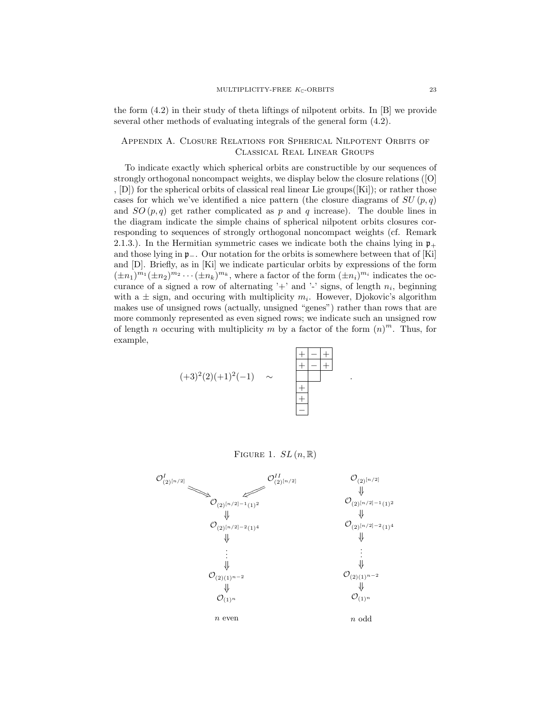the form (4.2) in their study of theta liftings of nilpotent orbits. In [B] we provide several other methods of evaluating integrals of the general form (4.2).

## Appendix A. Closure Relations for Spherical Nilpotent Orbits of Classical Real Linear Groups

To indicate exactly which spherical orbits are constructible by our sequences of strongly orthogonal noncompact weights, we display below the closure relations ([O] , [D]) for the spherical orbits of classical real linear Lie groups([Ki]); or rather those cases for which we've identified a nice pattern (the closure diagrams of  $SU(p,q)$ ) and  $SO(p,q)$  get rather complicated as p and q increase). The double lines in the diagram indicate the simple chains of spherical nilpotent orbits closures corresponding to sequences of strongly orthogonal noncompact weights (cf. Remark 2.1.3.). In the Hermitian symmetric cases we indicate both the chains lying in  $\mathfrak{p}_+$ and those lying in p−. Our notation for the orbits is somewhere between that of [Ki] and [D]. Briefly, as in [Ki] we indicate particular orbits by expressions of the form  $(\pm n_1)^{m_1}(\pm n_2)^{m_2}\cdots(\pm n_k)^{m_k}$ , where a factor of the form  $(\pm n_i)^{m_i}$  indicates the occurance of a signed a row of alternating '+' and '-' signs, of length  $n_i$ , beginning with a  $\pm$  sign, and occuring with multiplicity  $m_i$ . However, Djokovic's algorithm makes use of unsigned rows (actually, unsigned "genes") rather than rows that are more commonly represented as even signed rows; we indicate such an unsigned row of length *n* occuring with multiplicity *m* by a factor of the form  $(n)^m$ . Thus, for example,

$$
(+3)^2(2)(+1)^2(-1)
$$
  $\sim$   $\frac{+ - +}{+ - + +}$ 

FIGURE 1.  $SL(n, \mathbb{R})$ 

.

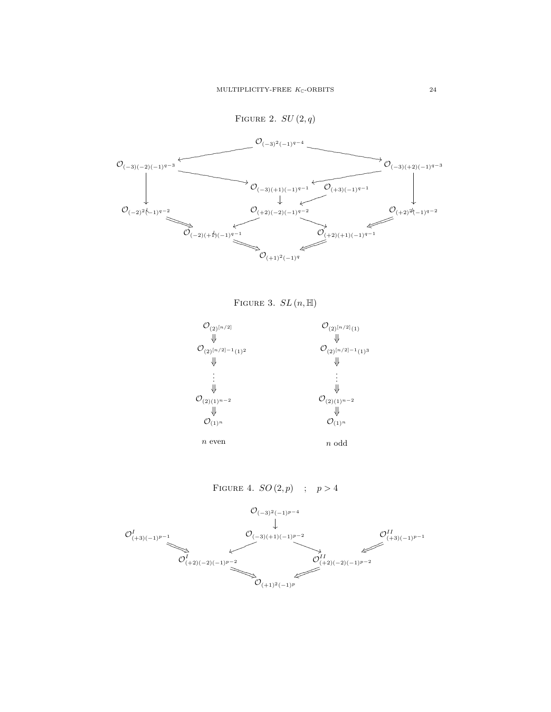



FIGURE 4.  $SO(2,p)$  ;  $p > 4$ 

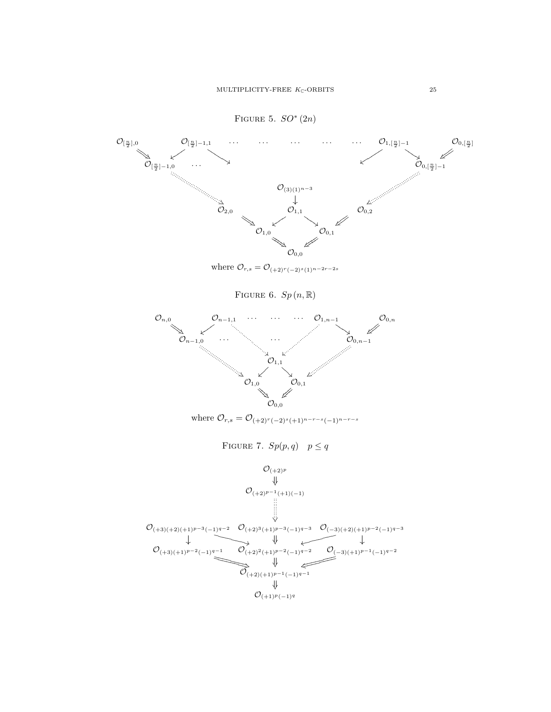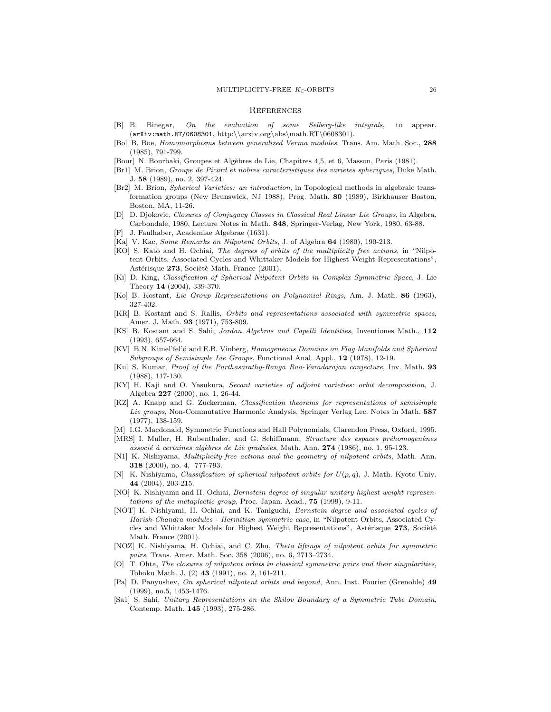#### **REFERENCES**

- [B] B. Binegar, On the evaluation of some Selberg-like integrals, to appear. (arXiv:math.RT/0608301, http:\\arxiv.org\abs\math.RT\0608301).
- [Bo] B. Boe, Homomorphisms between generalized Verma modules, Trans. Am. Math. Soc., 288 (1985), 791-799.
- [Bour] N. Bourbaki, Groupes et Alg`ebres de Lie, Chapitres 4,5, et 6, Masson, Paris (1981).
- [Br1] M. Brion, Groupe de Picard et nobres caracteristiques des varietes spheriques, Duke Math. J. 58 (1989), no. 2, 397-424.
- [Br2] M. Brion, Spherical Varieties: an introduction, in Topological methods in algebraic transformation groups (New Brunswick, NJ 1988), Prog. Math. 80 (1989), Birkhauser Boston, Boston, MA, 11-26.
- [D] D. Djokovic, Closures of Conjugacy Classes in Classical Real Linear Lie Groups, in Algebra, Carbondale, 1980, Lecture Notes in Math. 848, Springer-Verlag, New York, 1980, 63-88.
- J. Faulhaber, Academiae Algebrae (1631).
- [Ka] V. Kac, Some Remarks on Nilpotent Orbits, J. of Algebra 64 (1980), 190-213.
- [KO] S. Kato and H. Ochiai, The degrees of orbits of the multiplicity free actions, in "Nilpotent Orbits, Associated Cycles and Whittaker Models for Highest Weight Representations", Astérisque 273, Sociètè Math. France (2001).
- [Ki] D. King, Classification of Spherical Nilpotent Orbits in Complex Symmetric Space, J. Lie Theory 14 (2004), 339-370.
- [Ko] B. Kostant, Lie Group Representations on Polynomial Rings, Am. J. Math. 86 (1963), 327-402.
- [KR] B. Kostant and S. Rallis, Orbits and representations associated with symmetric spaces, Amer. J. Math. 93 (1971), 753-809.
- [KS] B. Kostant and S. Sahi, Jordan Algebras and Capelli Identities, Inventiones Math., 112 (1993), 657-664.
- [KV] B.N. Kimel'fel'd and E.B. Vinberg, Homogeneous Domains on Flag Manifolds and Spherical Subgroups of Semisimple Lie Groups, Functional Anal. Appl., 12 (1978), 12-19.
- [Ku] S. Kumar, Proof of the Parthasarathy-Ranga Rao-Varadarajan conjecture, Inv. Math. 93 (1988), 117-130.
- [KY] H. Kaji and O. Yasukura, Secant varieties of adjoint varieties: orbit decomposition, J. Algebra 227 (2000), no. 1, 26-44.
- [KZ] A. Knapp and G. Zuckerman, Classification theorems for representations of semisimple Lie groups, Non-Commutative Harmonic Analysis, Springer Verlag Lec. Notes in Math. 587 (1977), 138-159.
- [M] I.G. Macdonald, Symmetric Functions and Hall Polynomials, Clarendon Press, Oxford, 1995.
- [MRS] I. Muller, H. Rubenthaler, and G. Schiffmann, Structure des espaces préhomogenènes associé à certaines algèbres de Lie graduées, Math. Ann. 274 (1986), no. 1, 95-123.
- [N1] K. Nishiyama, *Multiplicity-free actions and the geometry of nilpotent orbits*, Math. Ann. 318 (2000), no. 4, 777-793.
- K. Nishiyama, Classification of spherical nilpotent orbits for  $U(p, q)$ , J. Math. Kyoto Univ. 44 (2004), 203-215.
- [NO] K. Nishiyama and H. Ochiai, Bernstein degree of singular unitary highest weight representations of the metaplectic group, Proc. Japan. Acad., 75 (1999), 9-11.
- [NOT] K. Nishiyami, H. Ochiai, and K. Taniguchi, Bernstein degree and associated cycles of Harish-Chandra modules - Hermitian symmetric case, in "Nilpotent Orbits, Associated Cycles and Whittaker Models for Highest Weight Representations", Astérisque 273, Socièté Math. France (2001).
- [NOZ] K. Nishiyama, H. Ochiai, and C. Zhu, Theta liftings of nilpotent orbits for symmetric pairs, Trans. Amer. Math. Soc. 358 (2006), no. 6, 2713–2734.
- [O] T. Ohta, The closures of nilpotent orbits in classical symmetric pairs and their singularities, Tohoku Math. J. (2) 43 (1991), no. 2, 161-211.
- [Pa] D. Panyushev, On spherical nilpotent orbits and beyond, Ann. Inst. Fourier (Grenoble) 49 (1999), no.5, 1453-1476.
- [Sa1] S. Sahi, Unitary Representations on the Shilov Boundary of a Symmetric Tube Domain, Contemp. Math. 145 (1993), 275-286.